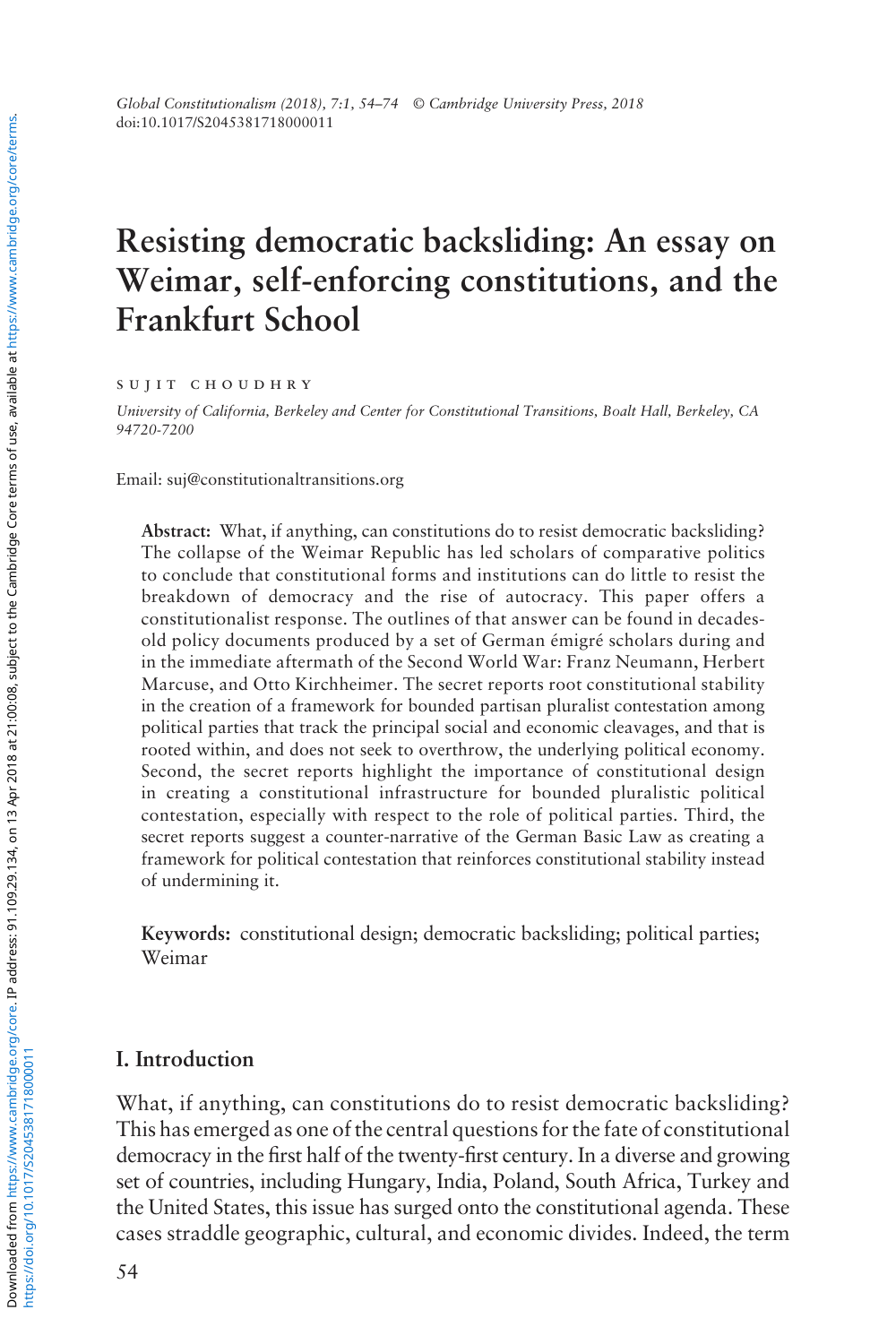# **Resisting democratic backsliding: An essay on Weimar, self-enforcing constitutions, and the Frankfurt School**

sujit choudhry

*University of California, Berkeley and Center for Constitutional Transitions, Boalt Hall, Berkeley, CA 94720-7200*

Email: [suj@constitutionaltransitions.org](mailto:suj@constitutionaltransitions.org)

**Abstract:** What, if anything, can constitutions do to resist democratic backsliding? The collapse of the Weimar Republic has led scholars of comparative politics to conclude that constitutional forms and institutions can do little to resist the breakdown of democracy and the rise of autocracy. This paper offers a constitutionalist response. The outlines of that answer can be found in decadesold policy documents produced by a set of German émigré scholars during and in the immediate aftermath of the Second World War: Franz Neumann, Herbert Marcuse, and Otto Kirchheimer. The secret reports root constitutional stability in the creation of a framework for bounded partisan pluralist contestation among political parties that track the principal social and economic cleavages, and that is rooted within, and does not seek to overthrow, the underlying political economy. Second, the secret reports highlight the importance of constitutional design in creating a constitutional infrastructure for bounded pluralistic political contestation, especially with respect to the role of political parties. Third, the secret reports suggest a counter-narrative of the German Basic Law as creating a framework for political contestation that reinforces constitutional stability instead of undermining it.

**Keywords:** constitutional design; democratic backsliding; political parties; Weimar

## **I. Introduction**

What, if anything, can constitutions do to resist democratic backsliding? This has emerged as one of the central questions for the fate of constitutional democracy in the first half of the twenty-first century. In a diverse and growing set of countries, including Hungary, India, Poland, South Africa, Turkey and the United States, this issue has surged onto the constitutional agenda. These cases straddle geographic, cultural, and economic divides. Indeed, the term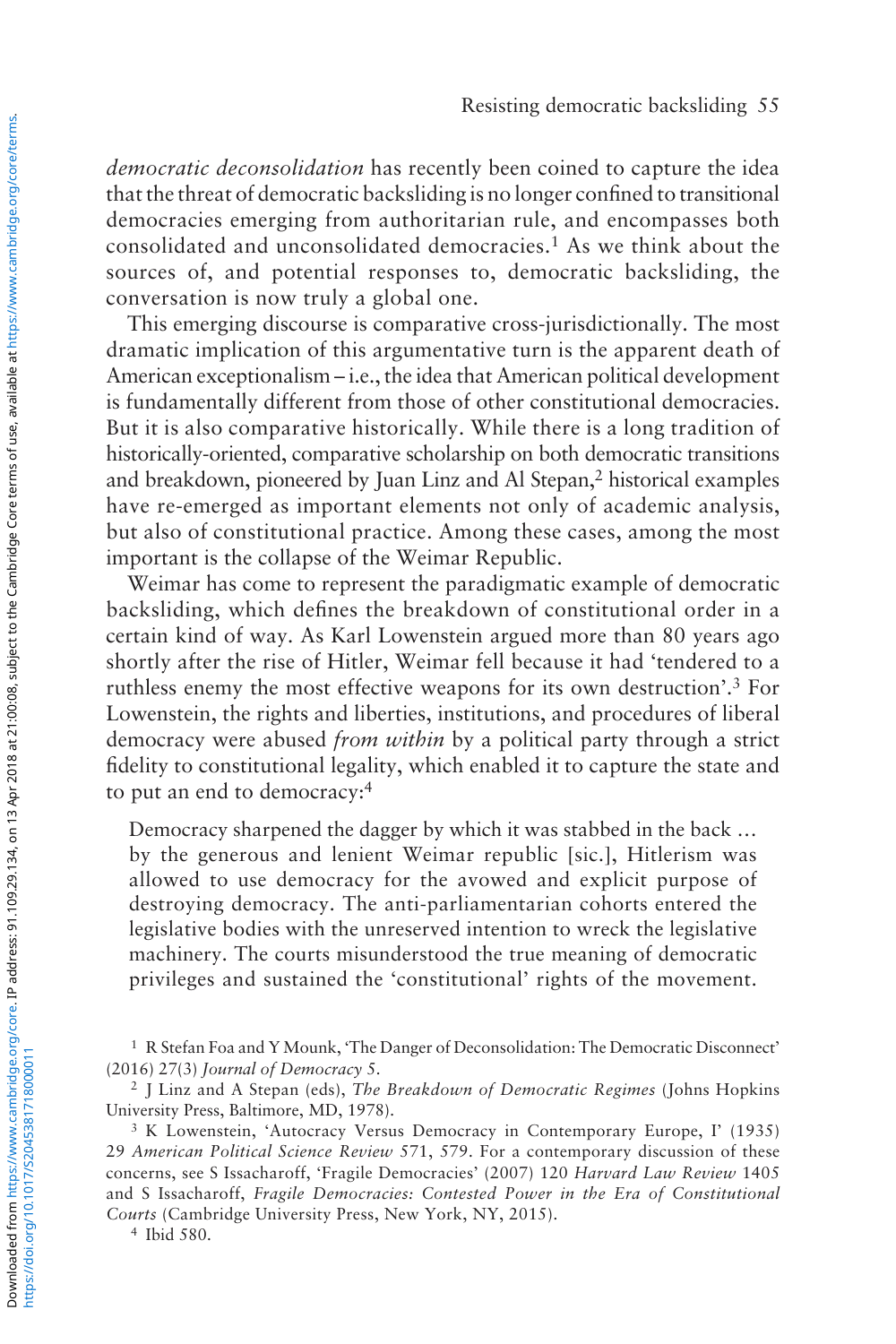*democratic deconsolidation* has recently been coined to capture the idea that the threat of democratic backsliding is no longer confined to transitional democracies emerging from authoritarian rule, and encompasses both consolidated and unconsolidated democracies.<sup>1</sup> As we think about the sources of, and potential responses to, democratic backsliding, the conversation is now truly a global one.

This emerging discourse is comparative cross-jurisdictionally. The most dramatic implication of this argumentative turn is the apparent death of American exceptionalism – i.e., the idea that American political development is fundamentally different from those of other constitutional democracies. But it is also comparative historically. While there is a long tradition of historically-oriented, comparative scholarship on both democratic transitions and breakdown, pioneered by Juan Linz and Al Stepan,2 historical examples have re-emerged as important elements not only of academic analysis, but also of constitutional practice. Among these cases, among the most important is the collapse of the Weimar Republic.

Weimar has come to represent the paradigmatic example of democratic backsliding, which defines the breakdown of constitutional order in a certain kind of way. As Karl Lowenstein argued more than 80 years ago shortly after the rise of Hitler, Weimar fell because it had 'tendered to a ruthless enemy the most effective weapons for its own destruction'.3 For Lowenstein, the rights and liberties, institutions, and procedures of liberal democracy were abused *from within* by a political party through a strict fidelity to constitutional legality, which enabled it to capture the state and to put an end to democracy:4

Democracy sharpened the dagger by which it was stabbed in the back … by the generous and lenient Weimar republic [sic.], Hitlerism was allowed to use democracy for the avowed and explicit purpose of destroying democracy. The anti-parliamentarian cohorts entered the legislative bodies with the unreserved intention to wreck the legislative machinery. The courts misunderstood the true meaning of democratic privileges and sustained the 'constitutional' rights of the movement.

<sup>4</sup> Ibid 580.

<sup>1</sup> R Stefan Foa and Y Mounk, 'The Danger of Deconsolidation: The Democratic Disconnect' (2016) 27(3) *Journal of Democracy* 5.

<sup>2</sup> J Linz and A Stepan (eds), *The Breakdown of Democratic Regimes* (Johns Hopkins University Press, Baltimore, MD, 1978).

<sup>3</sup> K Lowenstein, 'Autocracy Versus Democracy in Contemporary Europe, I' (1935) 29 *American Political Science Review* 571, 579. For a contemporary discussion of these concerns, see S Issacharoff, 'Fragile Democracies' (2007) 120 *Harvard Law Review* 1405 and S Issacharoff, *Fragile Democracies: Contested Power in the Era of Constitutional Courts* (Cambridge University Press, New York, NY, 2015).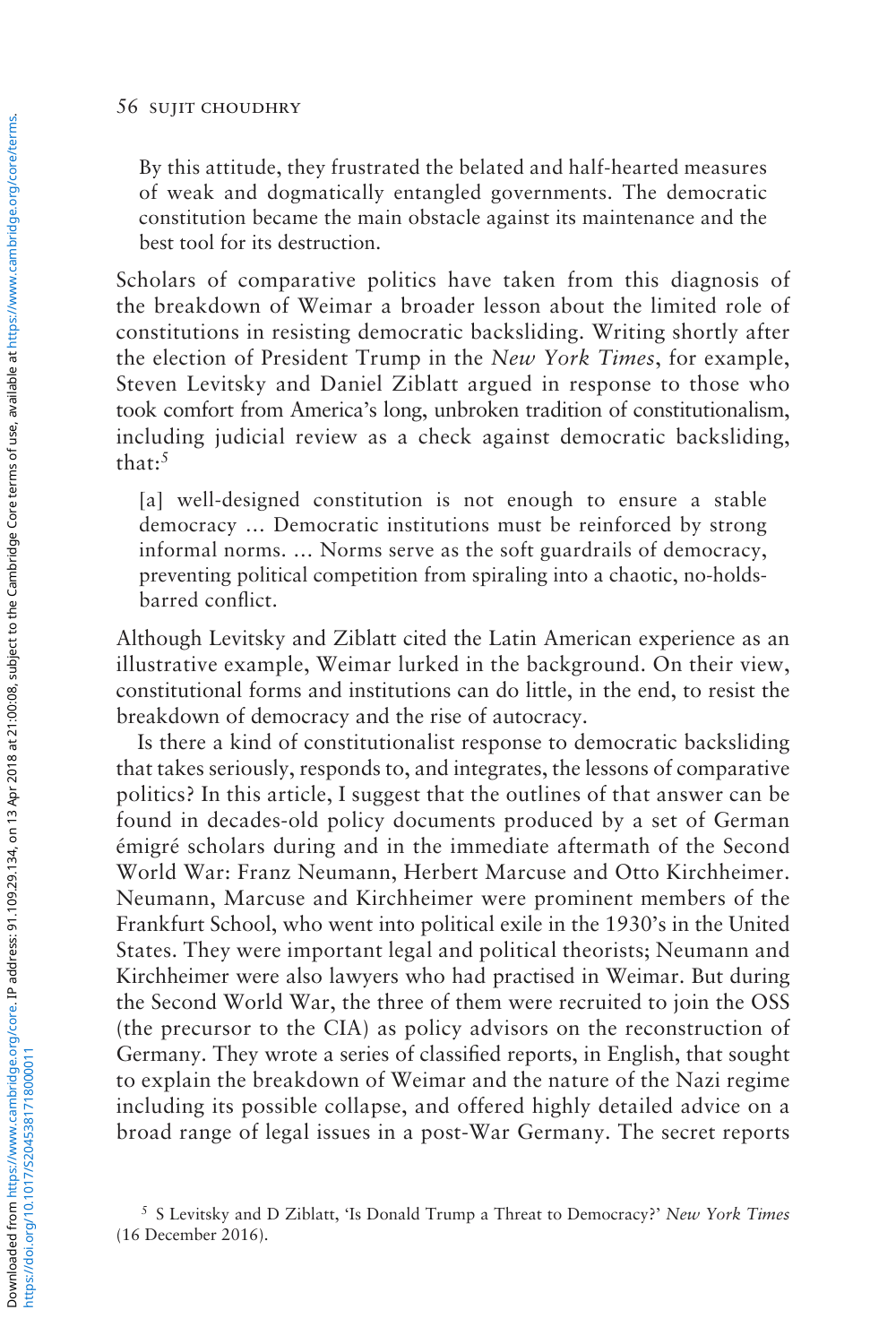By this attitude, they frustrated the belated and half-hearted measures of weak and dogmatically entangled governments. The democratic constitution became the main obstacle against its maintenance and the best tool for its destruction.

Scholars of comparative politics have taken from this diagnosis of the breakdown of Weimar a broader lesson about the limited role of constitutions in resisting democratic backsliding. Writing shortly after the election of President Trump in the *New York Times*, for example, Steven Levitsky and Daniel Ziblatt argued in response to those who took comfort from America's long, unbroken tradition of constitutionalism, including judicial review as a check against democratic backsliding, that:5

[a] well-designed constitution is not enough to ensure a stable democracy … Democratic institutions must be reinforced by strong informal norms. … Norms serve as the soft guardrails of democracy, preventing political competition from spiraling into a chaotic, no-holdsbarred conflict.

Although Levitsky and Ziblatt cited the Latin American experience as an illustrative example, Weimar lurked in the background. On their view, constitutional forms and institutions can do little, in the end, to resist the breakdown of democracy and the rise of autocracy.

Is there a kind of constitutionalist response to democratic backsliding that takes seriously, responds to, and integrates, the lessons of comparative politics? In this article, I suggest that the outlines of that answer can be found in decades-old policy documents produced by a set of German émigré scholars during and in the immediate aftermath of the Second World War: Franz Neumann, Herbert Marcuse and Otto Kirchheimer. Neumann, Marcuse and Kirchheimer were prominent members of the Frankfurt School, who went into political exile in the 1930's in the United States. They were important legal and political theorists; Neumann and Kirchheimer were also lawyers who had practised in Weimar. But during the Second World War, the three of them were recruited to join the OSS (the precursor to the CIA) as policy advisors on the reconstruction of Germany. They wrote a series of classified reports, in English, that sought to explain the breakdown of Weimar and the nature of the Nazi regime including its possible collapse, and offered highly detailed advice on a broad range of legal issues in a post-War Germany. The secret reports

<sup>5</sup> S Levitsky and D Ziblatt, 'Is Donald Trump a Threat to Democracy?' *New York Times* (16 December 2016).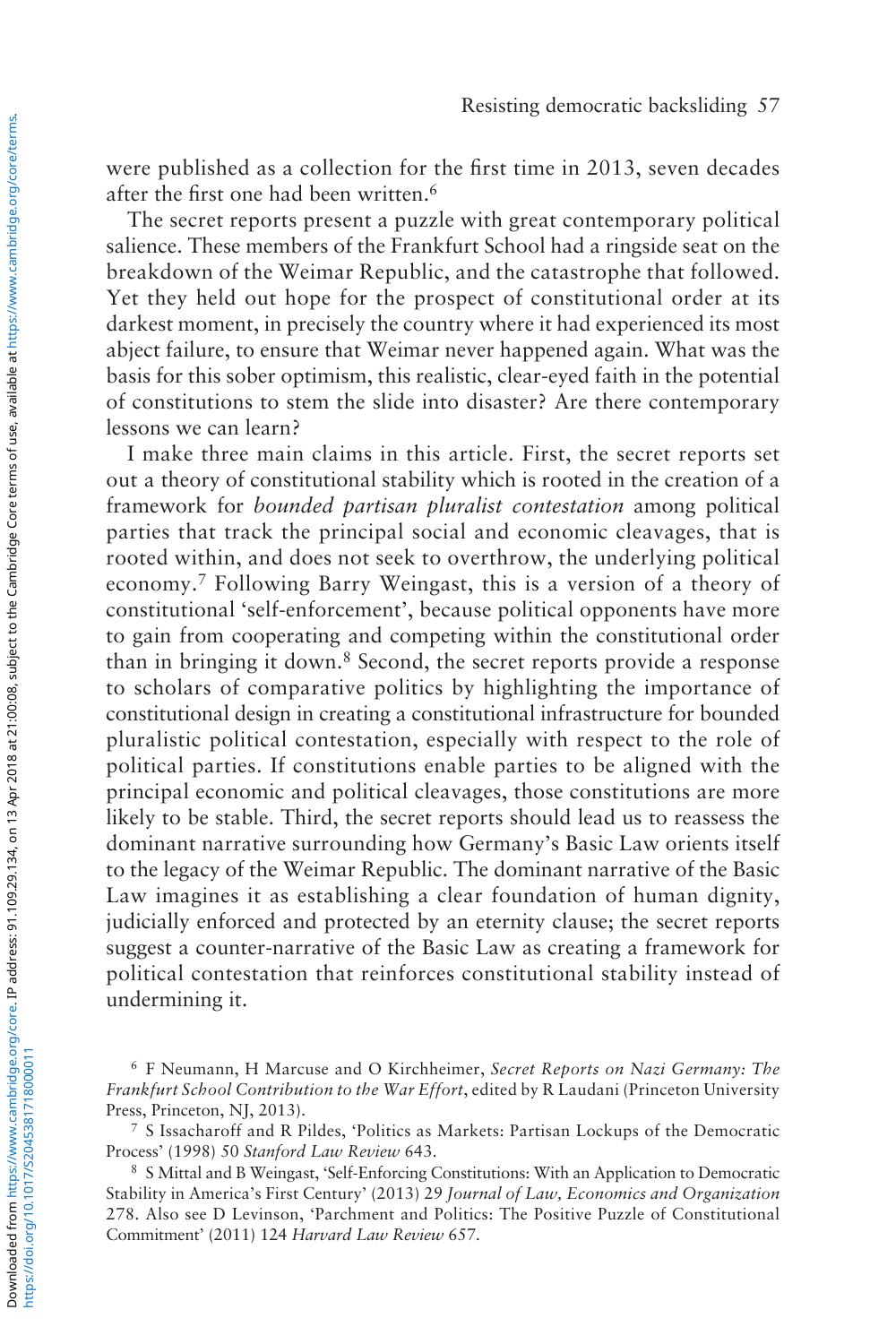were published as a collection for the first time in 2013, seven decades after the first one had been written.6

The secret reports present a puzzle with great contemporary political salience. These members of the Frankfurt School had a ringside seat on the breakdown of the Weimar Republic, and the catastrophe that followed. Yet they held out hope for the prospect of constitutional order at its darkest moment, in precisely the country where it had experienced its most abject failure, to ensure that Weimar never happened again. What was the basis for this sober optimism, this realistic, clear-eyed faith in the potential of constitutions to stem the slide into disaster? Are there contemporary lessons we can learn?

I make three main claims in this article. First, the secret reports set out a theory of constitutional stability which is rooted in the creation of a framework for *bounded partisan pluralist contestation* among political parties that track the principal social and economic cleavages, that is rooted within, and does not seek to overthrow, the underlying political economy.7 Following Barry Weingast, this is a version of a theory of constitutional 'self-enforcement', because political opponents have more to gain from cooperating and competing within the constitutional order than in bringing it down.<sup>8</sup> Second, the secret reports provide a response to scholars of comparative politics by highlighting the importance of constitutional design in creating a constitutional infrastructure for bounded pluralistic political contestation, especially with respect to the role of political parties. If constitutions enable parties to be aligned with the principal economic and political cleavages, those constitutions are more likely to be stable. Third, the secret reports should lead us to reassess the dominant narrative surrounding how Germany's Basic Law orients itself to the legacy of the Weimar Republic. The dominant narrative of the Basic Law imagines it as establishing a clear foundation of human dignity, judicially enforced and protected by an eternity clause; the secret reports suggest a counter-narrative of the Basic Law as creating a framework for political contestation that reinforces constitutional stability instead of undermining it.

<sup>6</sup> F Neumann, H Marcuse and O Kirchheimer, *Secret Reports on Nazi Germany: The Frankfurt School Contribution to the War Effort*, edited by R Laudani (Princeton University Press, Princeton, NJ, 2013).

<sup>7</sup> S Issacharoff and R Pildes, 'Politics as Markets: Partisan Lockups of the Democratic Process' (1998) 50 *Stanford Law Review* 643.

<sup>8</sup> S Mittal and B Weingast, 'Self-Enforcing Constitutions: With an Application to Democratic Stability in America's First Century' (2013) 29 *Journal of Law, Economics and Organization* 278. Also see D Levinson, 'Parchment and Politics: The Positive Puzzle of Constitutional Commitment' (2011) 124 *Harvard Law Review* 657.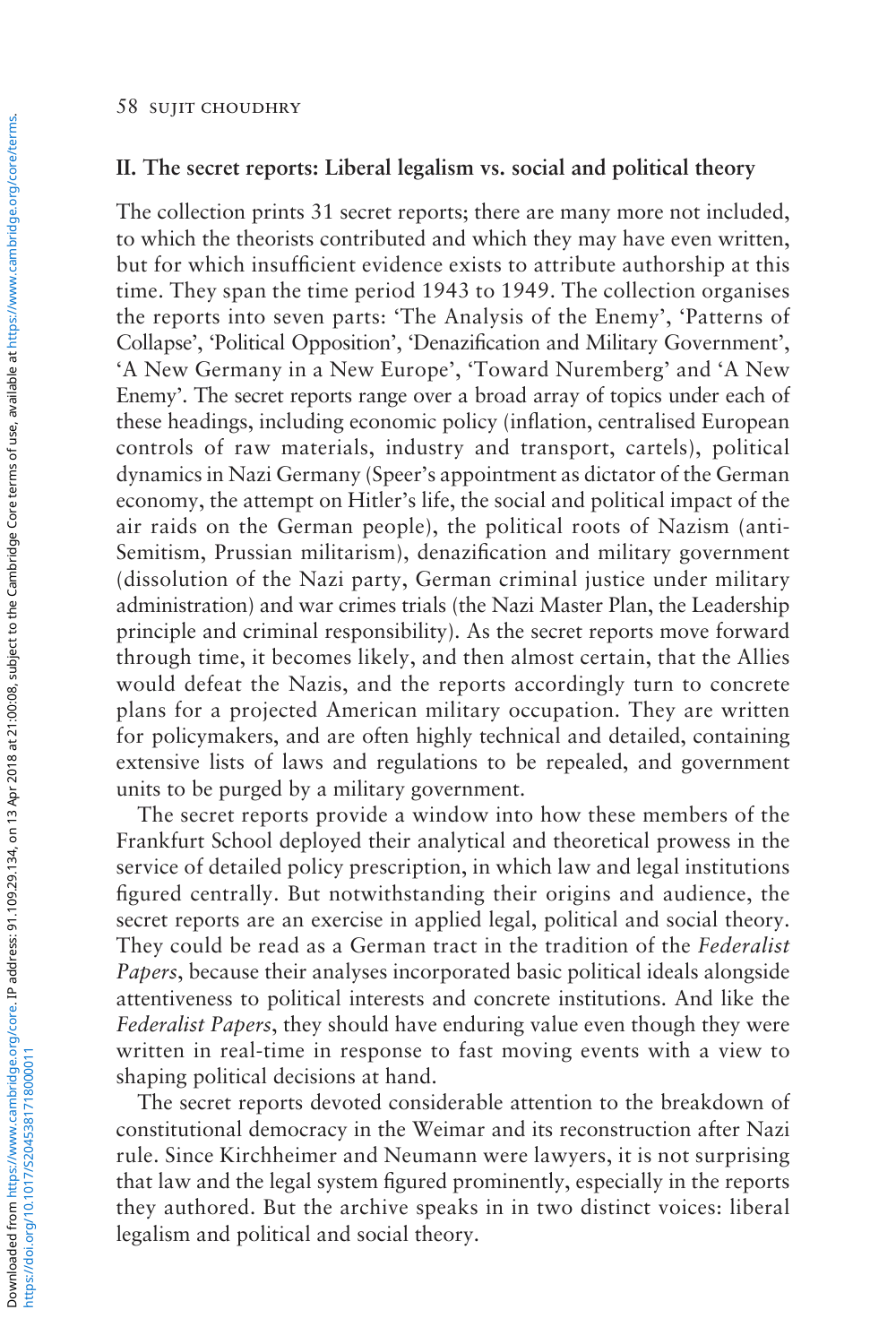## **II. The secret reports: Liberal legalism vs. social and political theory**

The collection prints 31 secret reports; there are many more not included, to which the theorists contributed and which they may have even written, but for which insufficient evidence exists to attribute authorship at this time. They span the time period 1943 to 1949. The collection organises the reports into seven parts: 'The Analysis of the Enemy', 'Patterns of Collapse', 'Political Opposition', 'Denazification and Military Government', 'A New Germany in a New Europe', 'Toward Nuremberg' and 'A New Enemy'. The secret reports range over a broad array of topics under each of these headings, including economic policy (inflation, centralised European controls of raw materials, industry and transport, cartels), political dynamics in Nazi Germany (Speer's appointment as dictator of the German economy, the attempt on Hitler's life, the social and political impact of the air raids on the German people), the political roots of Nazism (anti-Semitism, Prussian militarism), denazification and military government (dissolution of the Nazi party, German criminal justice under military administration) and war crimes trials (the Nazi Master Plan, the Leadership principle and criminal responsibility). As the secret reports move forward through time, it becomes likely, and then almost certain, that the Allies would defeat the Nazis, and the reports accordingly turn to concrete plans for a projected American military occupation. They are written for policymakers, and are often highly technical and detailed, containing extensive lists of laws and regulations to be repealed, and government units to be purged by a military government.

The secret reports provide a window into how these members of the Frankfurt School deployed their analytical and theoretical prowess in the service of detailed policy prescription, in which law and legal institutions figured centrally. But notwithstanding their origins and audience, the secret reports are an exercise in applied legal, political and social theory. They could be read as a German tract in the tradition of the *Federalist Papers*, because their analyses incorporated basic political ideals alongside attentiveness to political interests and concrete institutions. And like the *Federalist Papers*, they should have enduring value even though they were written in real-time in response to fast moving events with a view to shaping political decisions at hand.

The secret reports devoted considerable attention to the breakdown of constitutional democracy in the Weimar and its reconstruction after Nazi rule. Since Kirchheimer and Neumann were lawyers, it is not surprising that law and the legal system figured prominently, especially in the reports they authored. But the archive speaks in in two distinct voices: liberal legalism and political and social theory.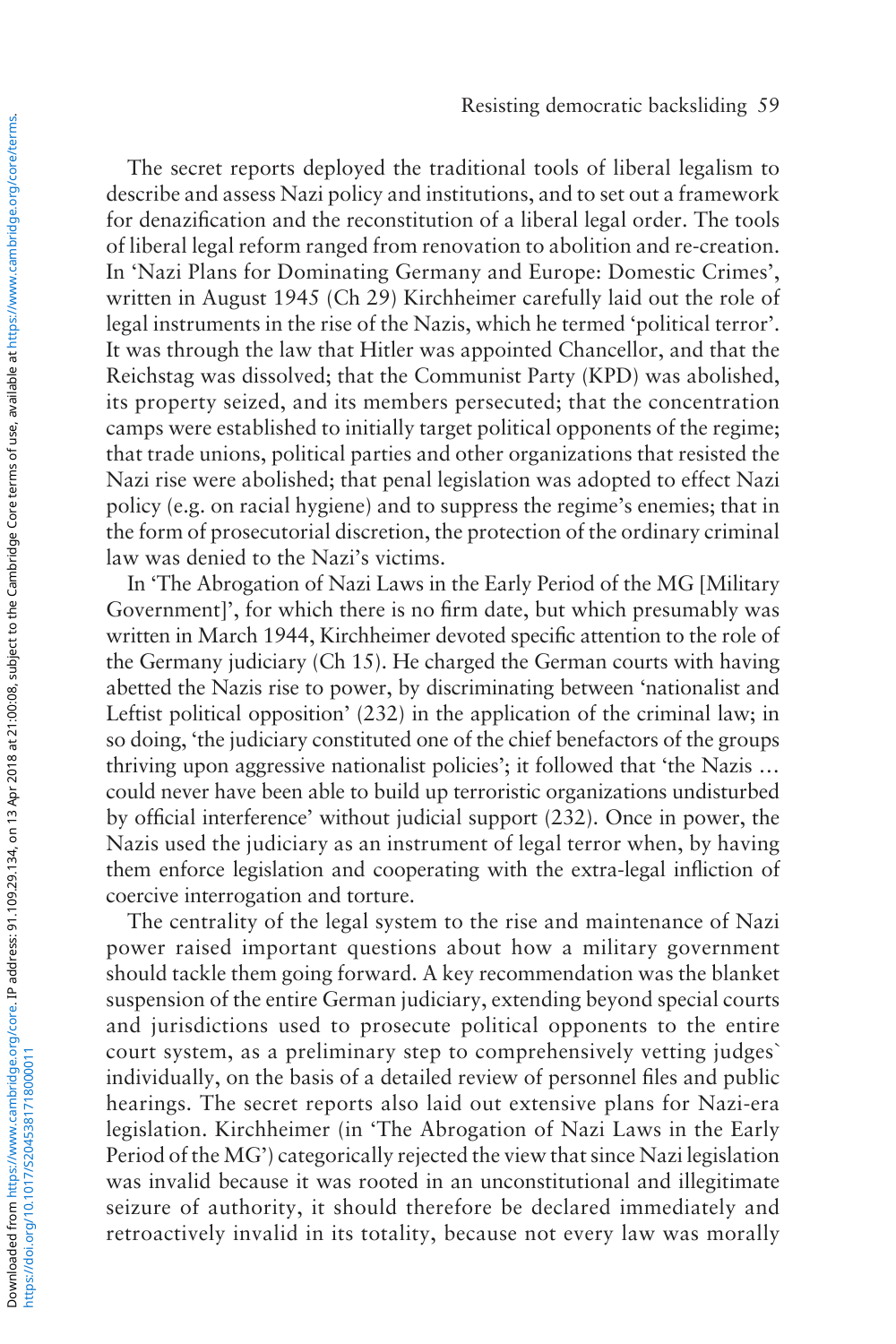The secret reports deployed the traditional tools of liberal legalism to describe and assess Nazi policy and institutions, and to set out a framework for denazification and the reconstitution of a liberal legal order. The tools of liberal legal reform ranged from renovation to abolition and re-creation. In 'Nazi Plans for Dominating Germany and Europe: Domestic Crimes', written in August 1945 (Ch 29) Kirchheimer carefully laid out the role of legal instruments in the rise of the Nazis, which he termed 'political terror'. It was through the law that Hitler was appointed Chancellor, and that the Reichstag was dissolved; that the Communist Party (KPD) was abolished, its property seized, and its members persecuted; that the concentration camps were established to initially target political opponents of the regime; that trade unions, political parties and other organizations that resisted the Nazi rise were abolished; that penal legislation was adopted to effect Nazi policy (e.g. on racial hygiene) and to suppress the regime's enemies; that in the form of prosecutorial discretion, the protection of the ordinary criminal law was denied to the Nazi's victims.

In 'The Abrogation of Nazi Laws in the Early Period of the MG [Military Government]', for which there is no firm date, but which presumably was written in March 1944, Kirchheimer devoted specific attention to the role of the Germany judiciary (Ch 15). He charged the German courts with having abetted the Nazis rise to power, by discriminating between 'nationalist and Leftist political opposition' (232) in the application of the criminal law; in so doing, 'the judiciary constituted one of the chief benefactors of the groups thriving upon aggressive nationalist policies'; it followed that 'the Nazis … could never have been able to build up terroristic organizations undisturbed by official interference' without judicial support (232). Once in power, the Nazis used the judiciary as an instrument of legal terror when, by having them enforce legislation and cooperating with the extra-legal infliction of coercive interrogation and torture.

The centrality of the legal system to the rise and maintenance of Nazi power raised important questions about how a military government should tackle them going forward. A key recommendation was the blanket suspension of the entire German judiciary, extending beyond special courts and jurisdictions used to prosecute political opponents to the entire court system, as a preliminary step to comprehensively vetting judges` individually, on the basis of a detailed review of personnel files and public hearings. The secret reports also laid out extensive plans for Nazi-era legislation. Kirchheimer (in 'The Abrogation of Nazi Laws in the Early Period of the MG') categorically rejected the view that since Nazi legislation was invalid because it was rooted in an unconstitutional and illegitimate seizure of authority, it should therefore be declared immediately and retroactively invalid in its totality, because not every law was morally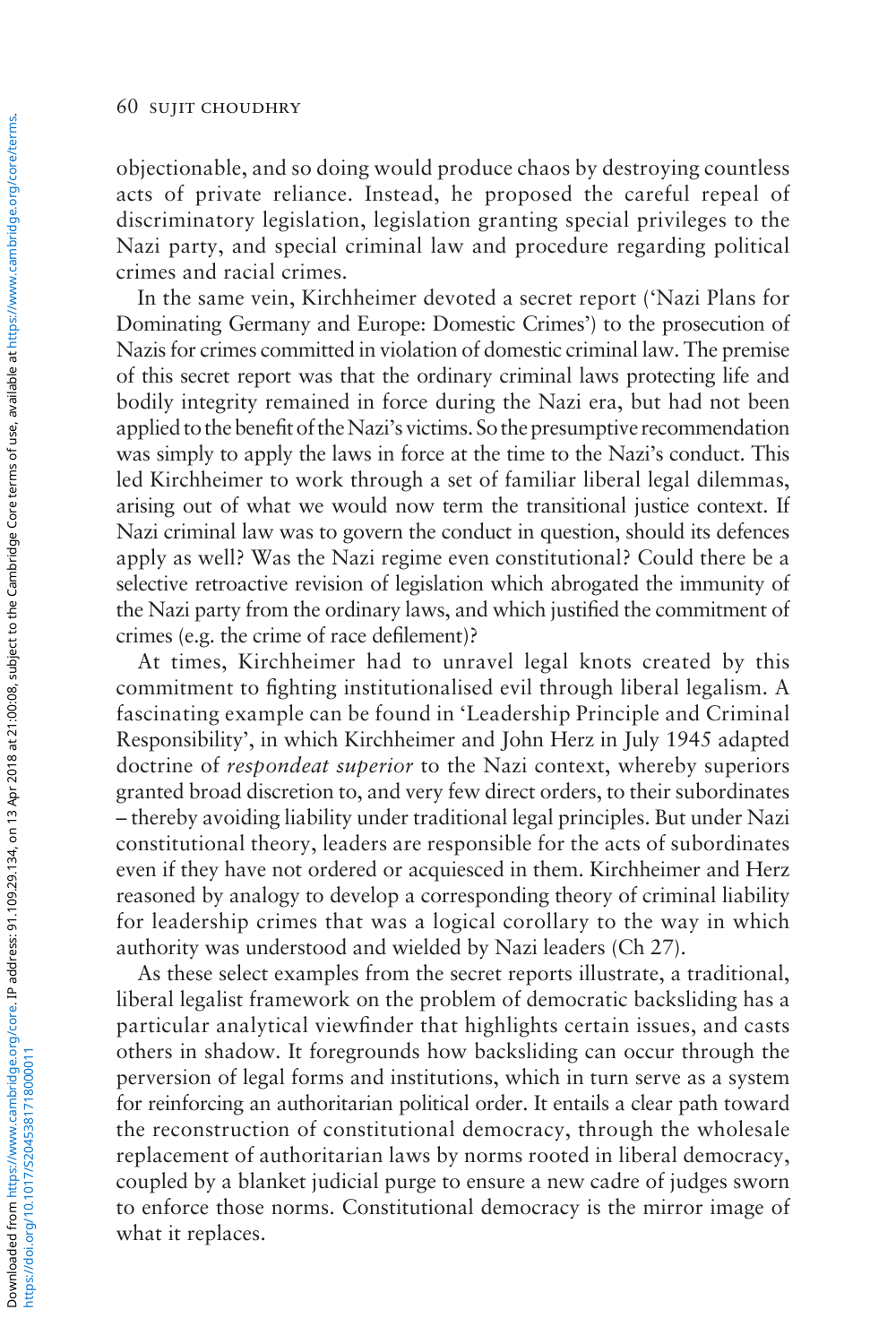objectionable, and so doing would produce chaos by destroying countless acts of private reliance. Instead, he proposed the careful repeal of discriminatory legislation, legislation granting special privileges to the Nazi party, and special criminal law and procedure regarding political crimes and racial crimes.

In the same vein, Kirchheimer devoted a secret report ('Nazi Plans for Dominating Germany and Europe: Domestic Crimes') to the prosecution of Nazis for crimes committed in violation of domestic criminal law. The premise of this secret report was that the ordinary criminal laws protecting life and bodily integrity remained in force during the Nazi era, but had not been applied to the benefit of the Nazi's victims. So the presumptive recommendation was simply to apply the laws in force at the time to the Nazi's conduct. This led Kirchheimer to work through a set of familiar liberal legal dilemmas, arising out of what we would now term the transitional justice context. If Nazi criminal law was to govern the conduct in question, should its defences apply as well? Was the Nazi regime even constitutional? Could there be a selective retroactive revision of legislation which abrogated the immunity of the Nazi party from the ordinary laws, and which justified the commitment of crimes (e.g. the crime of race defilement)?

At times, Kirchheimer had to unravel legal knots created by this commitment to fighting institutionalised evil through liberal legalism. A fascinating example can be found in 'Leadership Principle and Criminal Responsibility', in which Kirchheimer and John Herz in July 1945 adapted doctrine of *respondeat superior* to the Nazi context, whereby superiors granted broad discretion to, and very few direct orders, to their subordinates – thereby avoiding liability under traditional legal principles. But under Nazi constitutional theory, leaders are responsible for the acts of subordinates even if they have not ordered or acquiesced in them. Kirchheimer and Herz reasoned by analogy to develop a corresponding theory of criminal liability for leadership crimes that was a logical corollary to the way in which authority was understood and wielded by Nazi leaders (Ch 27).

As these select examples from the secret reports illustrate, a traditional, liberal legalist framework on the problem of democratic backsliding has a particular analytical viewfinder that highlights certain issues, and casts others in shadow. It foregrounds how backsliding can occur through the perversion of legal forms and institutions, which in turn serve as a system for reinforcing an authoritarian political order. It entails a clear path toward the reconstruction of constitutional democracy, through the wholesale replacement of authoritarian laws by norms rooted in liberal democracy, coupled by a blanket judicial purge to ensure a new cadre of judges sworn to enforce those norms. Constitutional democracy is the mirror image of what it replaces.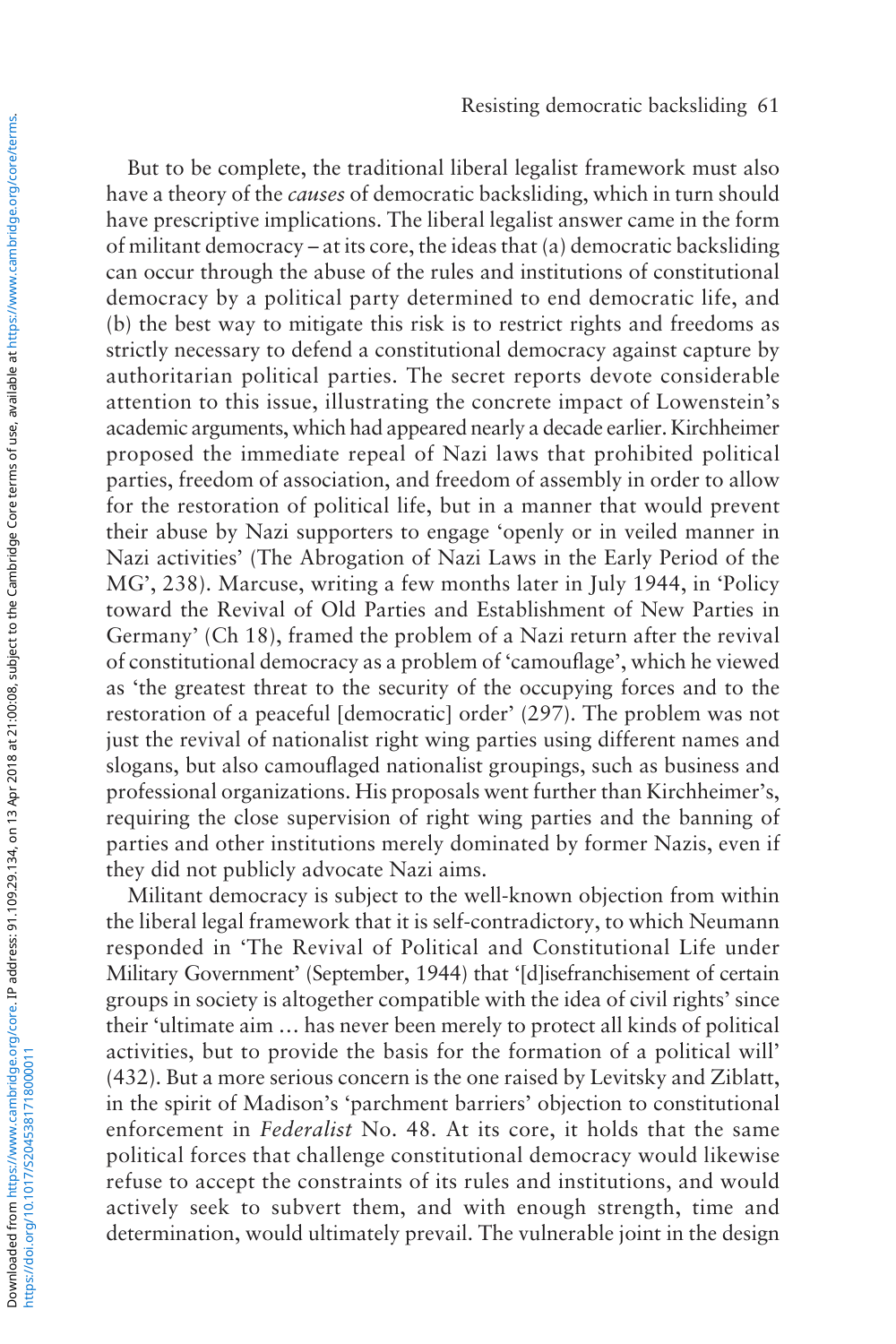But to be complete, the traditional liberal legalist framework must also have a theory of the *causes* of democratic backsliding, which in turn should have prescriptive implications. The liberal legalist answer came in the form of militant democracy – at its core, the ideas that (a) democratic backsliding can occur through the abuse of the rules and institutions of constitutional democracy by a political party determined to end democratic life, and (b) the best way to mitigate this risk is to restrict rights and freedoms as strictly necessary to defend a constitutional democracy against capture by authoritarian political parties. The secret reports devote considerable attention to this issue, illustrating the concrete impact of Lowenstein's academic arguments, which had appeared nearly a decade earlier. Kirchheimer proposed the immediate repeal of Nazi laws that prohibited political parties, freedom of association, and freedom of assembly in order to allow for the restoration of political life, but in a manner that would prevent their abuse by Nazi supporters to engage 'openly or in veiled manner in Nazi activities' (The Abrogation of Nazi Laws in the Early Period of the MG', 238). Marcuse, writing a few months later in July 1944, in 'Policy toward the Revival of Old Parties and Establishment of New Parties in Germany' (Ch 18), framed the problem of a Nazi return after the revival of constitutional democracy as a problem of 'camouflage', which he viewed as 'the greatest threat to the security of the occupying forces and to the restoration of a peaceful [democratic] order' (297). The problem was not just the revival of nationalist right wing parties using different names and slogans, but also camouflaged nationalist groupings, such as business and professional organizations. His proposals went further than Kirchheimer's, requiring the close supervision of right wing parties and the banning of parties and other institutions merely dominated by former Nazis, even if they did not publicly advocate Nazi aims.

Militant democracy is subject to the well-known objection from within the liberal legal framework that it is self-contradictory, to which Neumann responded in 'The Revival of Political and Constitutional Life under Military Government' (September, 1944) that '[d]isefranchisement of certain groups in society is altogether compatible with the idea of civil rights' since their 'ultimate aim … has never been merely to protect all kinds of political activities, but to provide the basis for the formation of a political will' (432). But a more serious concern is the one raised by Levitsky and Ziblatt, in the spirit of Madison's 'parchment barriers' objection to constitutional enforcement in *Federalist* No. 48. At its core, it holds that the same political forces that challenge constitutional democracy would likewise refuse to accept the constraints of its rules and institutions, and would actively seek to subvert them, and with enough strength, time and determination, would ultimately prevail. The vulnerable joint in the design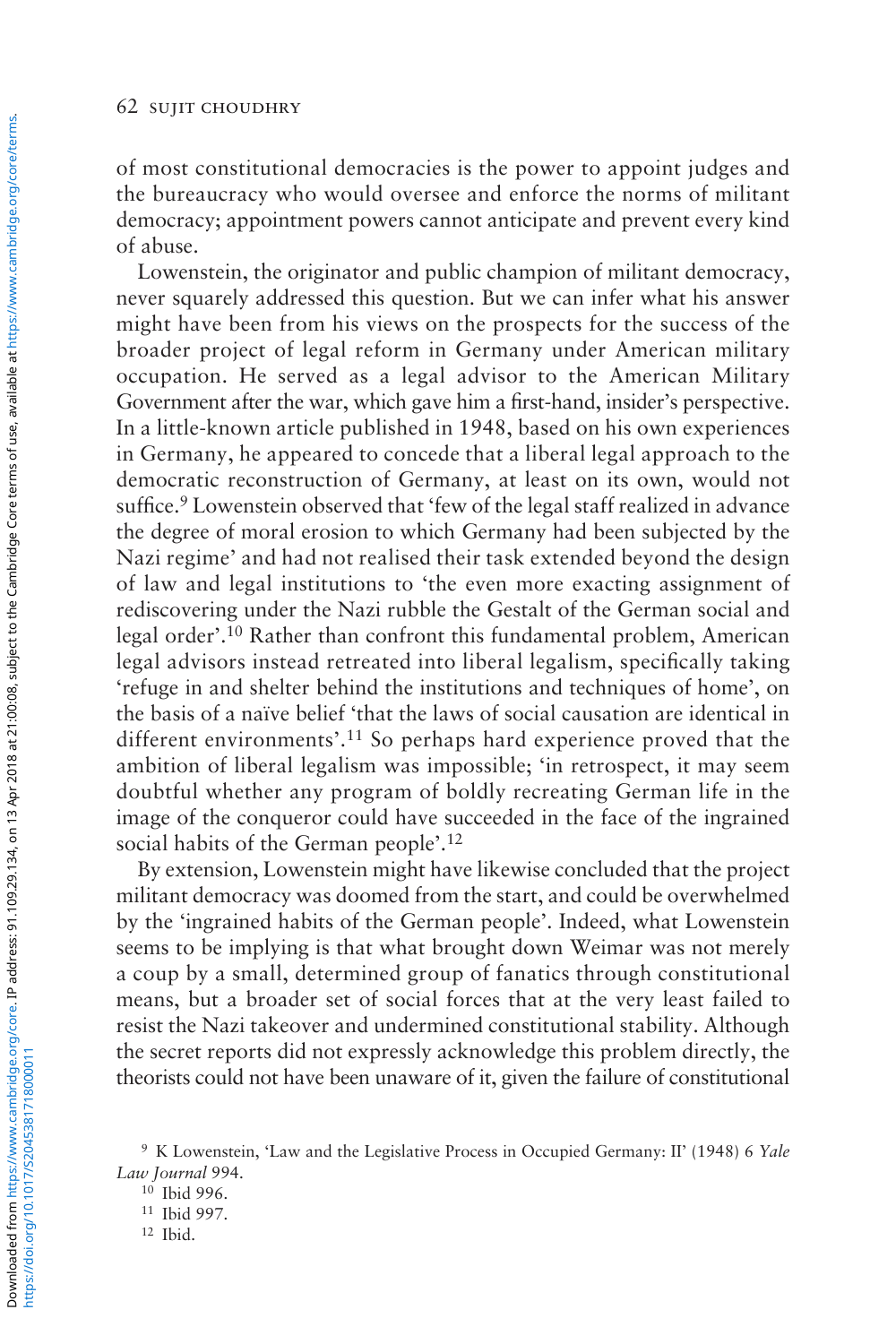of most constitutional democracies is the power to appoint judges and the bureaucracy who would oversee and enforce the norms of militant democracy; appointment powers cannot anticipate and prevent every kind of abuse.

Lowenstein, the originator and public champion of militant democracy, never squarely addressed this question. But we can infer what his answer might have been from his views on the prospects for the success of the broader project of legal reform in Germany under American military occupation. He served as a legal advisor to the American Military Government after the war, which gave him a first-hand, insider's perspective. In a little-known article published in 1948, based on his own experiences in Germany, he appeared to concede that a liberal legal approach to the democratic reconstruction of Germany, at least on its own, would not suffice.<sup>9</sup> Lowenstein observed that 'few of the legal staff realized in advance the degree of moral erosion to which Germany had been subjected by the Nazi regime' and had not realised their task extended beyond the design of law and legal institutions to 'the even more exacting assignment of rediscovering under the Nazi rubble the Gestalt of the German social and legal order'.10 Rather than confront this fundamental problem, American legal advisors instead retreated into liberal legalism, specifically taking 'refuge in and shelter behind the institutions and techniques of home', on the basis of a naïve belief 'that the laws of social causation are identical in different environments'.11 So perhaps hard experience proved that the ambition of liberal legalism was impossible; 'in retrospect, it may seem doubtful whether any program of boldly recreating German life in the image of the conqueror could have succeeded in the face of the ingrained social habits of the German people'.12

By extension, Lowenstein might have likewise concluded that the project militant democracy was doomed from the start, and could be overwhelmed by the 'ingrained habits of the German people'. Indeed, what Lowenstein seems to be implying is that what brought down Weimar was not merely a coup by a small, determined group of fanatics through constitutional means, but a broader set of social forces that at the very least failed to resist the Nazi takeover and undermined constitutional stability. Although the secret reports did not expressly acknowledge this problem directly, the theorists could not have been unaware of it, given the failure of constitutional

https://doi.org/10.1017/S2045381718000011

<sup>9</sup> K Lowenstein, 'Law and the Legislative Process in Occupied Germany: II' (1948) 6 *Yale Law Journal* 994.

<sup>10</sup> Ibid 996.

<sup>11</sup> Ibid 997.

<sup>12</sup> Ibid.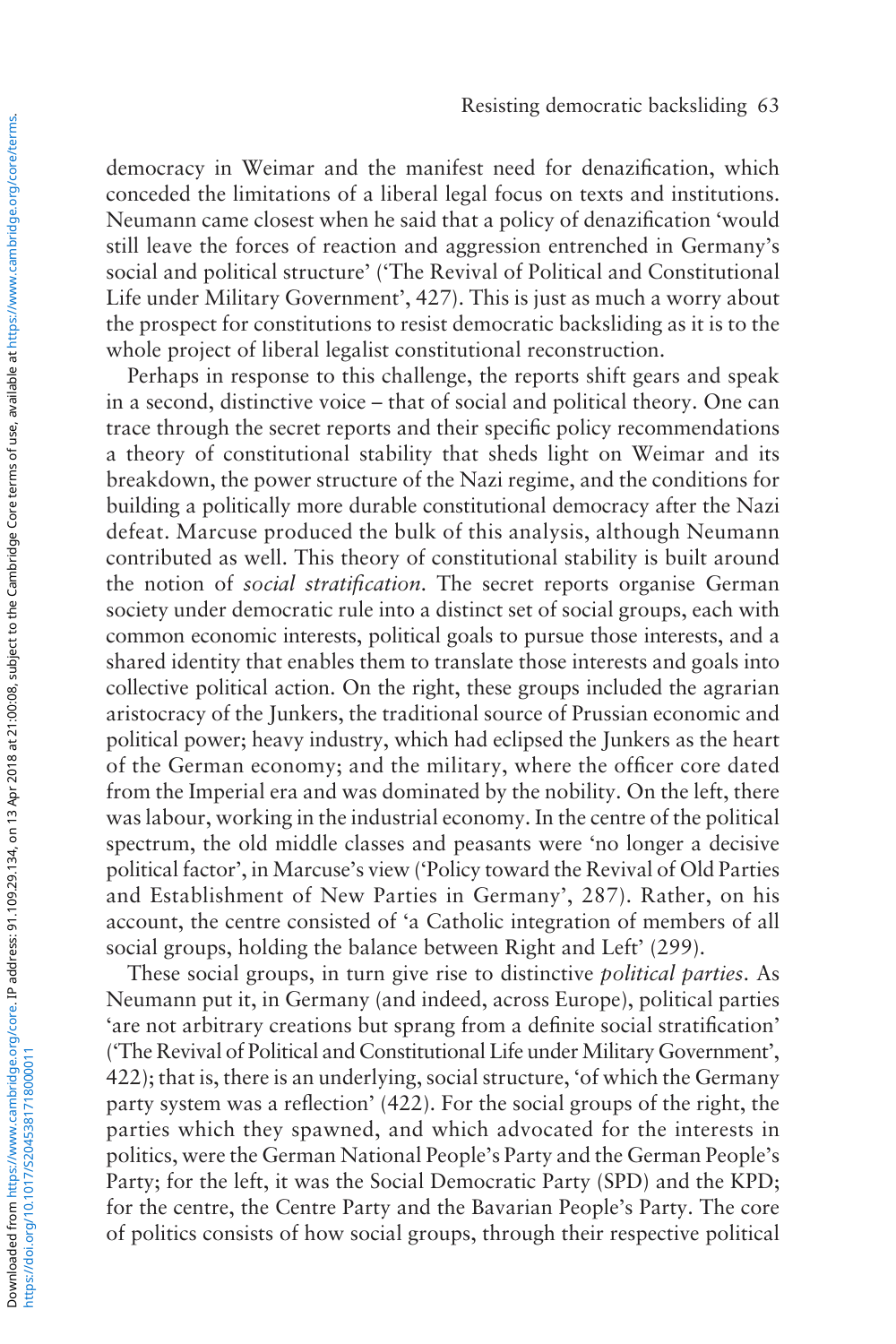democracy in Weimar and the manifest need for denazification, which conceded the limitations of a liberal legal focus on texts and institutions. Neumann came closest when he said that a policy of denazification 'would still leave the forces of reaction and aggression entrenched in Germany's social and political structure' ('The Revival of Political and Constitutional Life under Military Government', 427). This is just as much a worry about the prospect for constitutions to resist democratic backsliding as it is to the whole project of liberal legalist constitutional reconstruction.

Perhaps in response to this challenge, the reports shift gears and speak in a second, distinctive voice – that of social and political theory. One can trace through the secret reports and their specific policy recommendations a theory of constitutional stability that sheds light on Weimar and its breakdown, the power structure of the Nazi regime, and the conditions for building a politically more durable constitutional democracy after the Nazi defeat. Marcuse produced the bulk of this analysis, although Neumann contributed as well. This theory of constitutional stability is built around the notion of *social stratification*. The secret reports organise German society under democratic rule into a distinct set of social groups, each with common economic interests, political goals to pursue those interests, and a shared identity that enables them to translate those interests and goals into collective political action. On the right, these groups included the agrarian aristocracy of the Junkers, the traditional source of Prussian economic and political power; heavy industry, which had eclipsed the Junkers as the heart of the German economy; and the military, where the officer core dated from the Imperial era and was dominated by the nobility. On the left, there was labour, working in the industrial economy. In the centre of the political spectrum, the old middle classes and peasants were 'no longer a decisive political factor', in Marcuse's view ('Policy toward the Revival of Old Parties and Establishment of New Parties in Germany', 287). Rather, on his account, the centre consisted of 'a Catholic integration of members of all social groups, holding the balance between Right and Left' (299).

These social groups, in turn give rise to distinctive *political parties*. As Neumann put it, in Germany (and indeed, across Europe), political parties 'are not arbitrary creations but sprang from a definite social stratification' ('The Revival of Political and Constitutional Life under Military Government', 422); that is, there is an underlying, social structure, 'of which the Germany party system was a reflection' (422). For the social groups of the right, the parties which they spawned, and which advocated for the interests in politics, were the German National People's Party and the German People's Party; for the left, it was the Social Democratic Party (SPD) and the KPD; for the centre, the Centre Party and the Bavarian People's Party. The core of politics consists of how social groups, through their respective political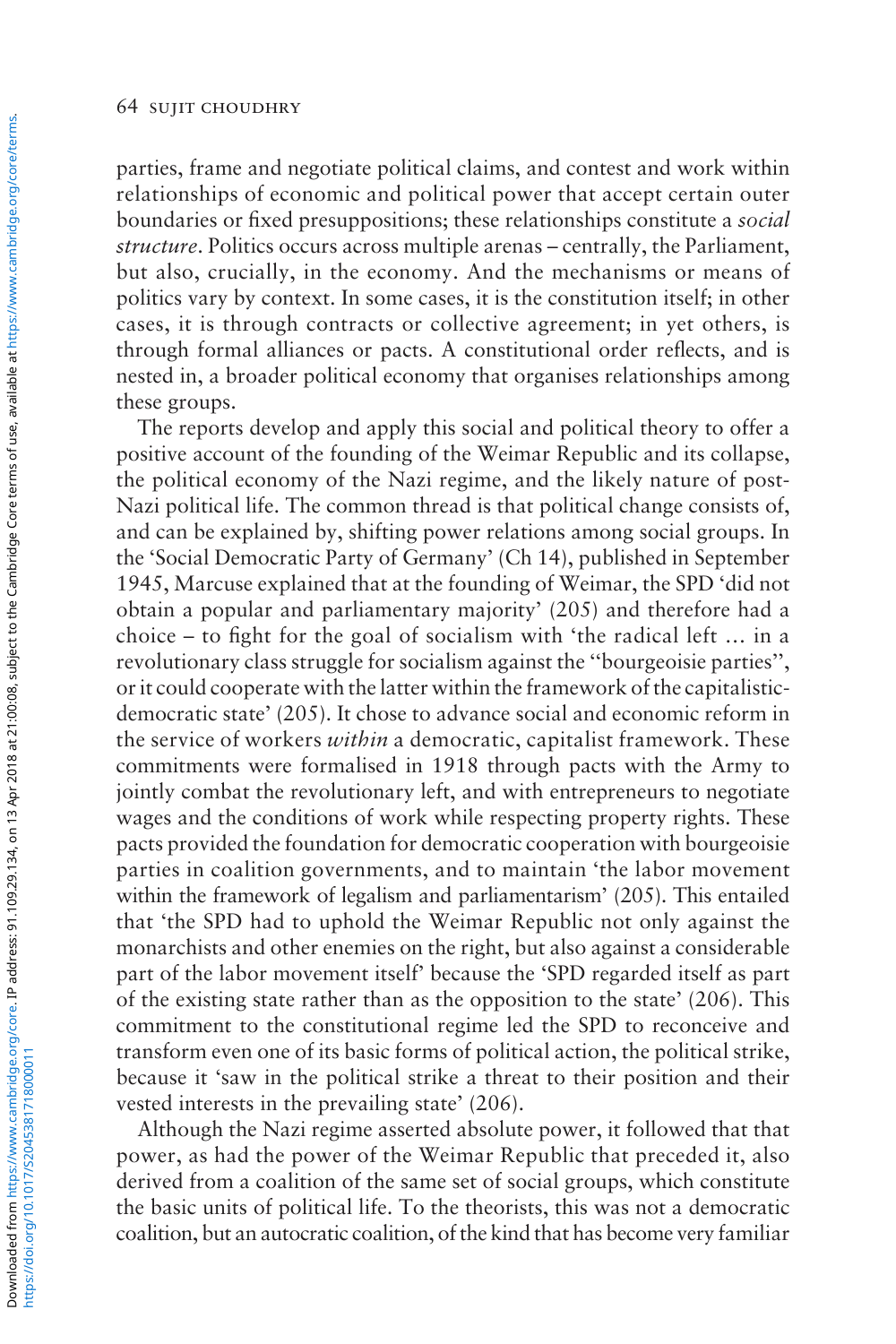parties, frame and negotiate political claims, and contest and work within relationships of economic and political power that accept certain outer boundaries or fixed presuppositions; these relationships constitute a *social structure*. Politics occurs across multiple arenas – centrally, the Parliament, but also, crucially, in the economy. And the mechanisms or means of politics vary by context. In some cases, it is the constitution itself; in other cases, it is through contracts or collective agreement; in yet others, is through formal alliances or pacts. A constitutional order reflects, and is nested in, a broader political economy that organises relationships among these groups.

The reports develop and apply this social and political theory to offer a positive account of the founding of the Weimar Republic and its collapse, the political economy of the Nazi regime, and the likely nature of post-Nazi political life. The common thread is that political change consists of, and can be explained by, shifting power relations among social groups. In the 'Social Democratic Party of Germany' (Ch 14), published in September 1945, Marcuse explained that at the founding of Weimar, the SPD 'did not obtain a popular and parliamentary majority' (205) and therefore had a choice – to fight for the goal of socialism with 'the radical left … in a revolutionary class struggle for socialism against the ''bourgeoisie parties'', or it could cooperate with the latter within the framework of the capitalisticdemocratic state' (205). It chose to advance social and economic reform in the service of workers *within* a democratic, capitalist framework. These commitments were formalised in 1918 through pacts with the Army to jointly combat the revolutionary left, and with entrepreneurs to negotiate wages and the conditions of work while respecting property rights. These pacts provided the foundation for democratic cooperation with bourgeoisie parties in coalition governments, and to maintain 'the labor movement within the framework of legalism and parliamentarism' (205). This entailed that 'the SPD had to uphold the Weimar Republic not only against the monarchists and other enemies on the right, but also against a considerable part of the labor movement itself' because the 'SPD regarded itself as part of the existing state rather than as the opposition to the state' (206). This commitment to the constitutional regime led the SPD to reconceive and transform even one of its basic forms of political action, the political strike, because it 'saw in the political strike a threat to their position and their vested interests in the prevailing state' (206).

Although the Nazi regime asserted absolute power, it followed that that power, as had the power of the Weimar Republic that preceded it, also derived from a coalition of the same set of social groups, which constitute the basic units of political life. To the theorists, this was not a democratic coalition, but an autocratic coalition, of the kind that has become very familiar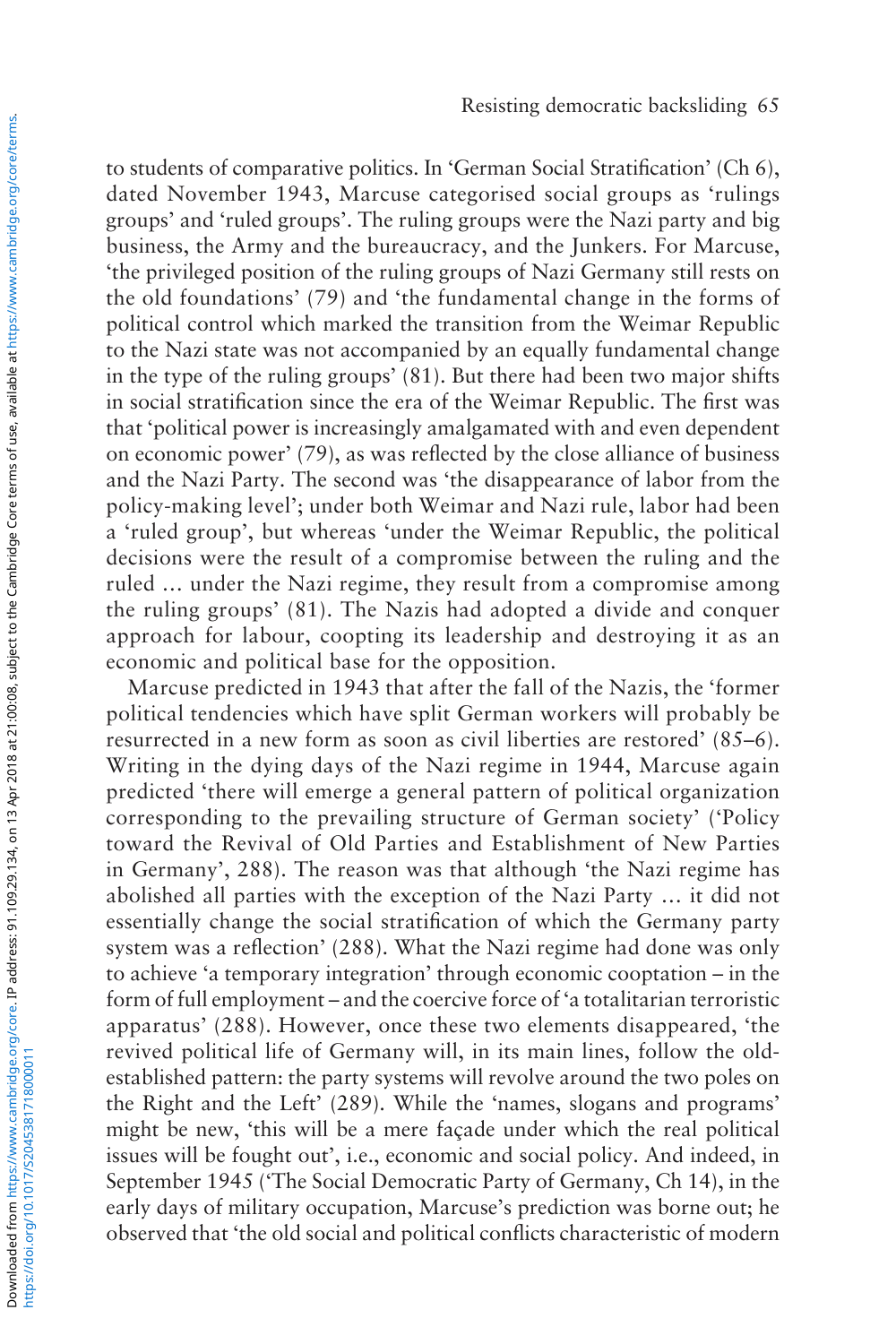to students of comparative politics. In 'German Social Stratification' (Ch 6), dated November 1943, Marcuse categorised social groups as 'rulings groups' and 'ruled groups'. The ruling groups were the Nazi party and big business, the Army and the bureaucracy, and the Junkers. For Marcuse, 'the privileged position of the ruling groups of Nazi Germany still rests on the old foundations' (79) and 'the fundamental change in the forms of political control which marked the transition from the Weimar Republic to the Nazi state was not accompanied by an equally fundamental change in the type of the ruling groups' (81). But there had been two major shifts in social stratification since the era of the Weimar Republic. The first was that 'political power is increasingly amalgamated with and even dependent on economic power' (79), as was reflected by the close alliance of business and the Nazi Party. The second was 'the disappearance of labor from the policy-making level'; under both Weimar and Nazi rule, labor had been a 'ruled group', but whereas 'under the Weimar Republic, the political decisions were the result of a compromise between the ruling and the ruled … under the Nazi regime, they result from a compromise among the ruling groups' (81). The Nazis had adopted a divide and conquer approach for labour, coopting its leadership and destroying it as an economic and political base for the opposition.

Marcuse predicted in 1943 that after the fall of the Nazis, the 'former political tendencies which have split German workers will probably be resurrected in a new form as soon as civil liberties are restored' (85–6). Writing in the dying days of the Nazi regime in 1944, Marcuse again predicted 'there will emerge a general pattern of political organization corresponding to the prevailing structure of German society' ('Policy toward the Revival of Old Parties and Establishment of New Parties in Germany', 288). The reason was that although 'the Nazi regime has abolished all parties with the exception of the Nazi Party … it did not essentially change the social stratification of which the Germany party system was a reflection' (288). What the Nazi regime had done was only to achieve 'a temporary integration' through economic cooptation – in the form of full employment – and the coercive force of 'a totalitarian terroristic apparatus' (288). However, once these two elements disappeared, 'the revived political life of Germany will, in its main lines, follow the oldestablished pattern: the party systems will revolve around the two poles on the Right and the Left' (289). While the 'names, slogans and programs' might be new, 'this will be a mere façade under which the real political issues will be fought out', i.e., economic and social policy. And indeed, in September 1945 ('The Social Democratic Party of Germany, Ch 14), in the early days of military occupation, Marcuse's prediction was borne out; he observed that 'the old social and political conflicts characteristic of modern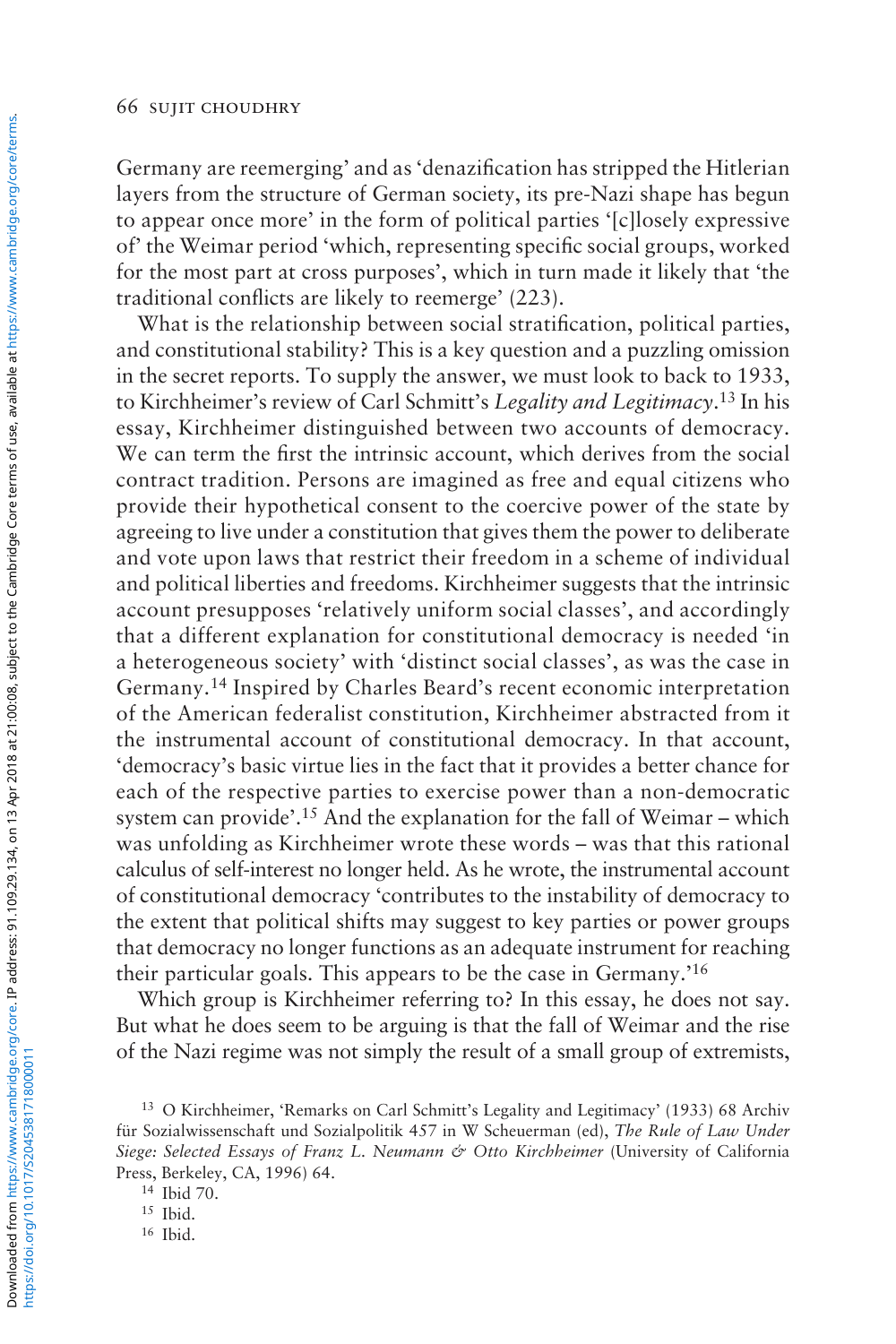Germany are reemerging' and as 'denazification has stripped the Hitlerian layers from the structure of German society, its pre-Nazi shape has begun to appear once more' in the form of political parties '[c]losely expressive of' the Weimar period 'which, representing specific social groups, worked for the most part at cross purposes', which in turn made it likely that 'the traditional conflicts are likely to reemerge' (223).

What is the relationship between social stratification, political parties, and constitutional stability? This is a key question and a puzzling omission in the secret reports. To supply the answer, we must look to back to 1933, to Kirchheimer's review of Carl Schmitt's *Legality and Legitimacy*. 13 In his essay, Kirchheimer distinguished between two accounts of democracy. We can term the first the intrinsic account, which derives from the social contract tradition. Persons are imagined as free and equal citizens who provide their hypothetical consent to the coercive power of the state by agreeing to live under a constitution that gives them the power to deliberate and vote upon laws that restrict their freedom in a scheme of individual and political liberties and freedoms. Kirchheimer suggests that the intrinsic account presupposes 'relatively uniform social classes', and accordingly that a different explanation for constitutional democracy is needed 'in a heterogeneous society' with 'distinct social classes', as was the case in Germany.14 Inspired by Charles Beard's recent economic interpretation of the American federalist constitution, Kirchheimer abstracted from it the instrumental account of constitutional democracy. In that account, 'democracy's basic virtue lies in the fact that it provides a better chance for each of the respective parties to exercise power than a non-democratic system can provide'.15 And the explanation for the fall of Weimar – which was unfolding as Kirchheimer wrote these words – was that this rational calculus of self-interest no longer held. As he wrote, the instrumental account of constitutional democracy 'contributes to the instability of democracy to the extent that political shifts may suggest to key parties or power groups that democracy no longer functions as an adequate instrument for reaching their particular goals. This appears to be the case in Germany.'16

Which group is Kirchheimer referring to? In this essay, he does not say. But what he does seem to be arguing is that the fall of Weimar and the rise of the Nazi regime was not simply the result of a small group of extremists,

<sup>13</sup> O Kirchheimer, 'Remarks on Carl Schmitt's Legality and Legitimacy' (1933) 68 Archiv für Sozialwissenschaft und Sozialpolitik 457 in W Scheuerman (ed), *The Rule of Law Under Siege: Selected Essays of Franz L. Neumann & Otto Kirchheimer* (University of California Press, Berkeley, CA, 1996) 64.

<sup>14</sup> Ibid 70.

<sup>15</sup> Ibid.

<sup>16</sup> Ibid.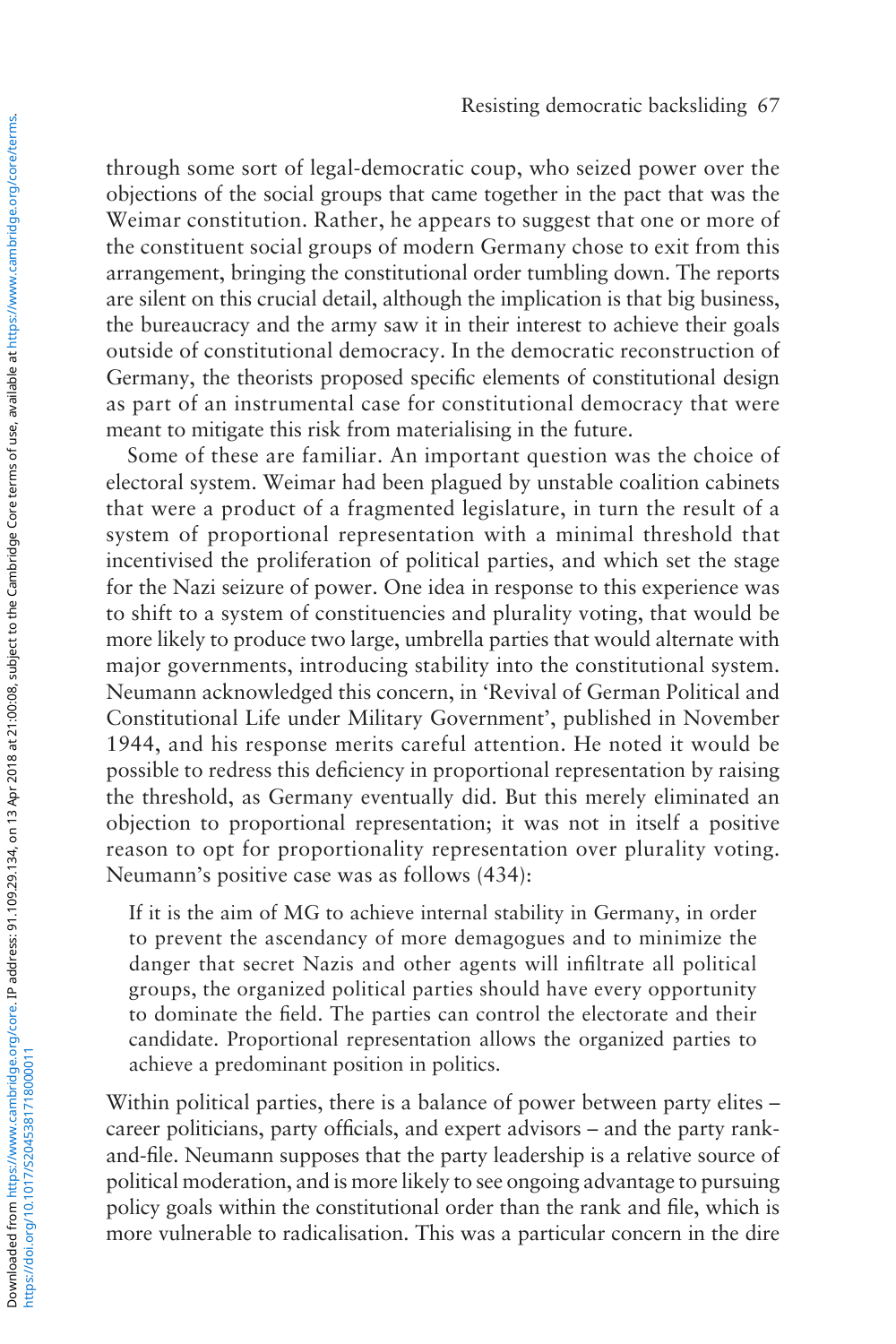through some sort of legal-democratic coup, who seized power over the objections of the social groups that came together in the pact that was the Weimar constitution. Rather, he appears to suggest that one or more of the constituent social groups of modern Germany chose to exit from this arrangement, bringing the constitutional order tumbling down. The reports are silent on this crucial detail, although the implication is that big business, the bureaucracy and the army saw it in their interest to achieve their goals outside of constitutional democracy. In the democratic reconstruction of Germany, the theorists proposed specific elements of constitutional design as part of an instrumental case for constitutional democracy that were meant to mitigate this risk from materialising in the future.

Some of these are familiar. An important question was the choice of electoral system. Weimar had been plagued by unstable coalition cabinets that were a product of a fragmented legislature, in turn the result of a system of proportional representation with a minimal threshold that incentivised the proliferation of political parties, and which set the stage for the Nazi seizure of power. One idea in response to this experience was to shift to a system of constituencies and plurality voting, that would be more likely to produce two large, umbrella parties that would alternate with major governments, introducing stability into the constitutional system. Neumann acknowledged this concern, in 'Revival of German Political and Constitutional Life under Military Government', published in November 1944, and his response merits careful attention. He noted it would be possible to redress this deficiency in proportional representation by raising the threshold, as Germany eventually did. But this merely eliminated an objection to proportional representation; it was not in itself a positive reason to opt for proportionality representation over plurality voting. Neumann's positive case was as follows (434):

If it is the aim of MG to achieve internal stability in Germany, in order to prevent the ascendancy of more demagogues and to minimize the danger that secret Nazis and other agents will infiltrate all political groups, the organized political parties should have every opportunity to dominate the field. The parties can control the electorate and their candidate. Proportional representation allows the organized parties to achieve a predominant position in politics.

Within political parties, there is a balance of power between party elites – career politicians, party officials, and expert advisors – and the party rankand-file. Neumann supposes that the party leadership is a relative source of political moderation, and is more likely to see ongoing advantage to pursuing policy goals within the constitutional order than the rank and file, which is more vulnerable to radicalisation. This was a particular concern in the dire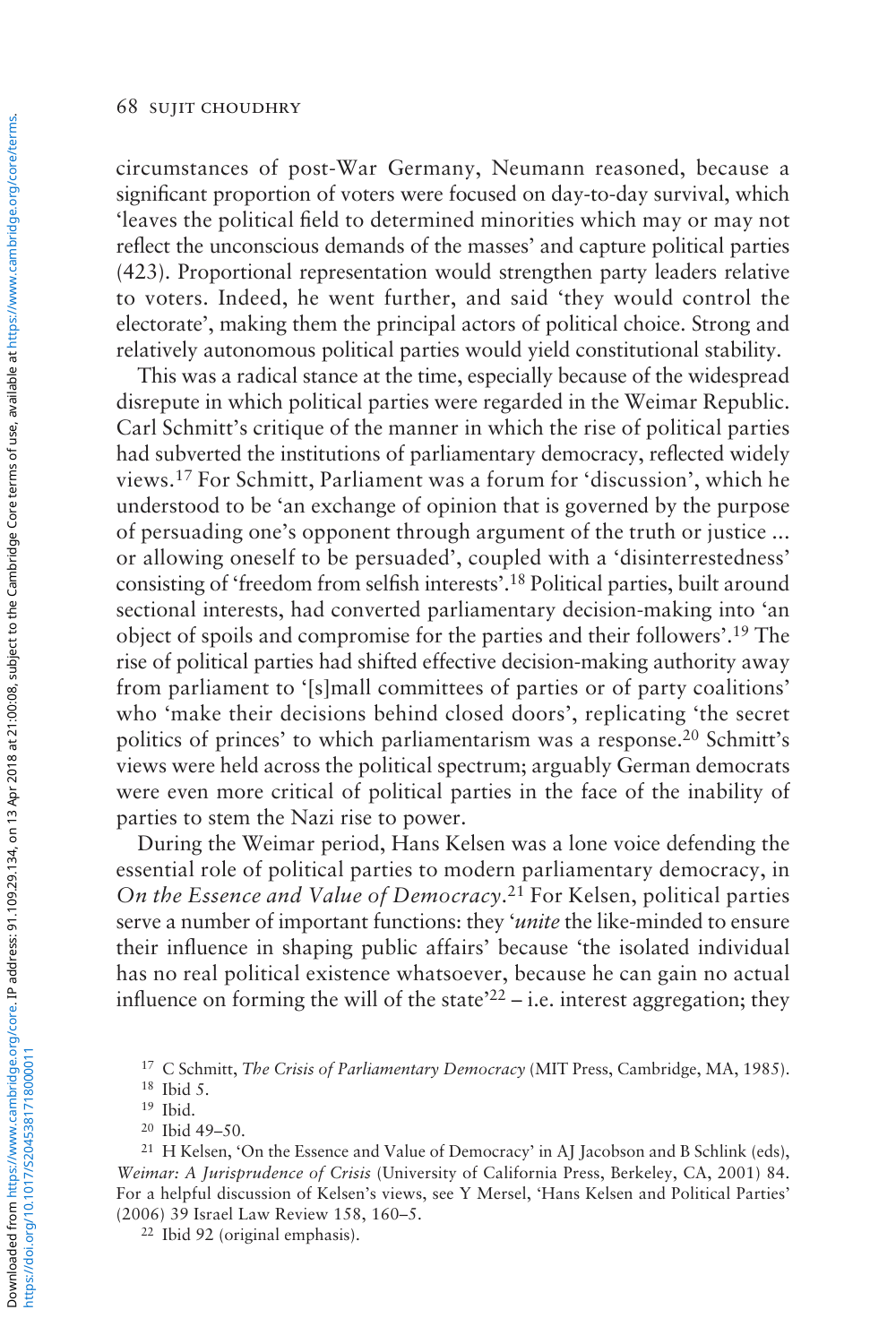circumstances of post-War Germany, Neumann reasoned, because a significant proportion of voters were focused on day-to-day survival, which 'leaves the political field to determined minorities which may or may not reflect the unconscious demands of the masses' and capture political parties (423). Proportional representation would strengthen party leaders relative to voters. Indeed, he went further, and said 'they would control the electorate', making them the principal actors of political choice. Strong and relatively autonomous political parties would yield constitutional stability.

This was a radical stance at the time, especially because of the widespread disrepute in which political parties were regarded in the Weimar Republic. Carl Schmitt's critique of the manner in which the rise of political parties had subverted the institutions of parliamentary democracy, reflected widely views.17 For Schmitt, Parliament was a forum for 'discussion', which he understood to be 'an exchange of opinion that is governed by the purpose of persuading one's opponent through argument of the truth or justice ... or allowing oneself to be persuaded', coupled with a 'disinterrestedness' consisting of 'freedom from selfish interests'.18 Political parties, built around sectional interests, had converted parliamentary decision-making into 'an object of spoils and compromise for the parties and their followers'.19 The rise of political parties had shifted effective decision-making authority away from parliament to '[s]mall committees of parties or of party coalitions' who 'make their decisions behind closed doors', replicating 'the secret politics of princes' to which parliamentarism was a response.<sup>20</sup> Schmitt's views were held across the political spectrum; arguably German democrats were even more critical of political parties in the face of the inability of parties to stem the Nazi rise to power.

During the Weimar period, Hans Kelsen was a lone voice defending the essential role of political parties to modern parliamentary democracy, in *On the Essence and Value of Democracy*.<sup>21</sup> For Kelsen, political parties serve a number of important functions: they '*unite* the like-minded to ensure their influence in shaping public affairs' because 'the isolated individual has no real political existence whatsoever, because he can gain no actual influence on forming the will of the state<sup> $22$ </sup> – i.e. interest aggregation; they

<sup>22</sup> Ibid 92 (original emphasis).

<sup>17</sup> C Schmitt, *The Crisis of Parliamentary Democracy* (MIT Press, Cambridge, MA, 1985).

<sup>18</sup> Ibid 5.

<sup>19</sup> Ibid.

<sup>20</sup> Ibid 49–50.

<sup>&</sup>lt;sup>21</sup> H Kelsen, 'On the Essence and Value of Democracy' in AJ Jacobson and B Schlink (eds), *Weimar: A Jurisprudence of Crisis* (University of California Press, Berkeley, CA, 2001) 84. For a helpful discussion of Kelsen's views, see Y Mersel, 'Hans Kelsen and Political Parties' (2006) 39 Israel Law Review 158, 160–5.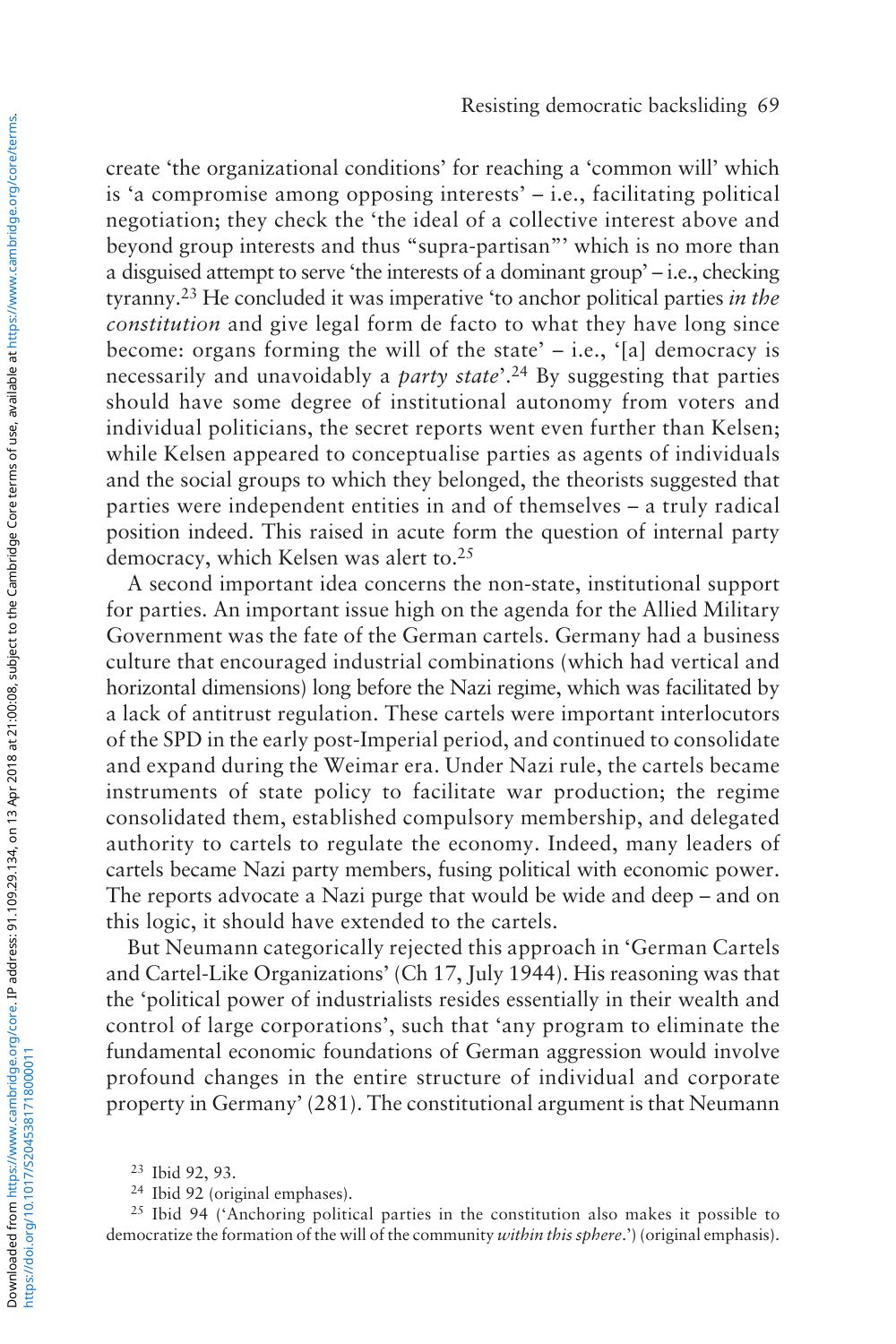create 'the organizational conditions' for reaching a 'common will' which is 'a compromise among opposing interests' – i.e., facilitating political negotiation; they check the 'the ideal of a collective interest above and beyond group interests and thus "supra-partisan"' which is no more than a disguised attempt to serve 'the interests of a dominant group' – i.e., checking tyranny.23 He concluded it was imperative 'to anchor political parties *in the constitution* and give legal form de facto to what they have long since become: organs forming the will of the state' – i.e., '[a] democracy is necessarily and unavoidably a *party state*'.24 By suggesting that parties should have some degree of institutional autonomy from voters and individual politicians, the secret reports went even further than Kelsen; while Kelsen appeared to conceptualise parties as agents of individuals and the social groups to which they belonged, the theorists suggested that parties were independent entities in and of themselves – a truly radical position indeed. This raised in acute form the question of internal party democracy, which Kelsen was alert to.25

A second important idea concerns the non-state, institutional support for parties. An important issue high on the agenda for the Allied Military Government was the fate of the German cartels. Germany had a business culture that encouraged industrial combinations (which had vertical and horizontal dimensions) long before the Nazi regime, which was facilitated by a lack of antitrust regulation. These cartels were important interlocutors of the SPD in the early post-Imperial period, and continued to consolidate and expand during the Weimar era. Under Nazi rule, the cartels became instruments of state policy to facilitate war production; the regime consolidated them, established compulsory membership, and delegated authority to cartels to regulate the economy. Indeed, many leaders of cartels became Nazi party members, fusing political with economic power. The reports advocate a Nazi purge that would be wide and deep – and on this logic, it should have extended to the cartels.

But Neumann categorically rejected this approach in 'German Cartels and Cartel-Like Organizations' (Ch 17, July 1944). His reasoning was that the 'political power of industrialists resides essentially in their wealth and control of large corporations', such that 'any program to eliminate the fundamental economic foundations of German aggression would involve profound changes in the entire structure of individual and corporate property in Germany' (281). The constitutional argument is that Neumann

<sup>25</sup> Ibid 94 ('Anchoring political parties in the constitution also makes it possible to democratize the formation of the will of the community *within this sphere*.') (original emphasis).

<sup>23</sup> Ibid 92, 93.

<sup>24</sup> Ibid 92 (original emphases).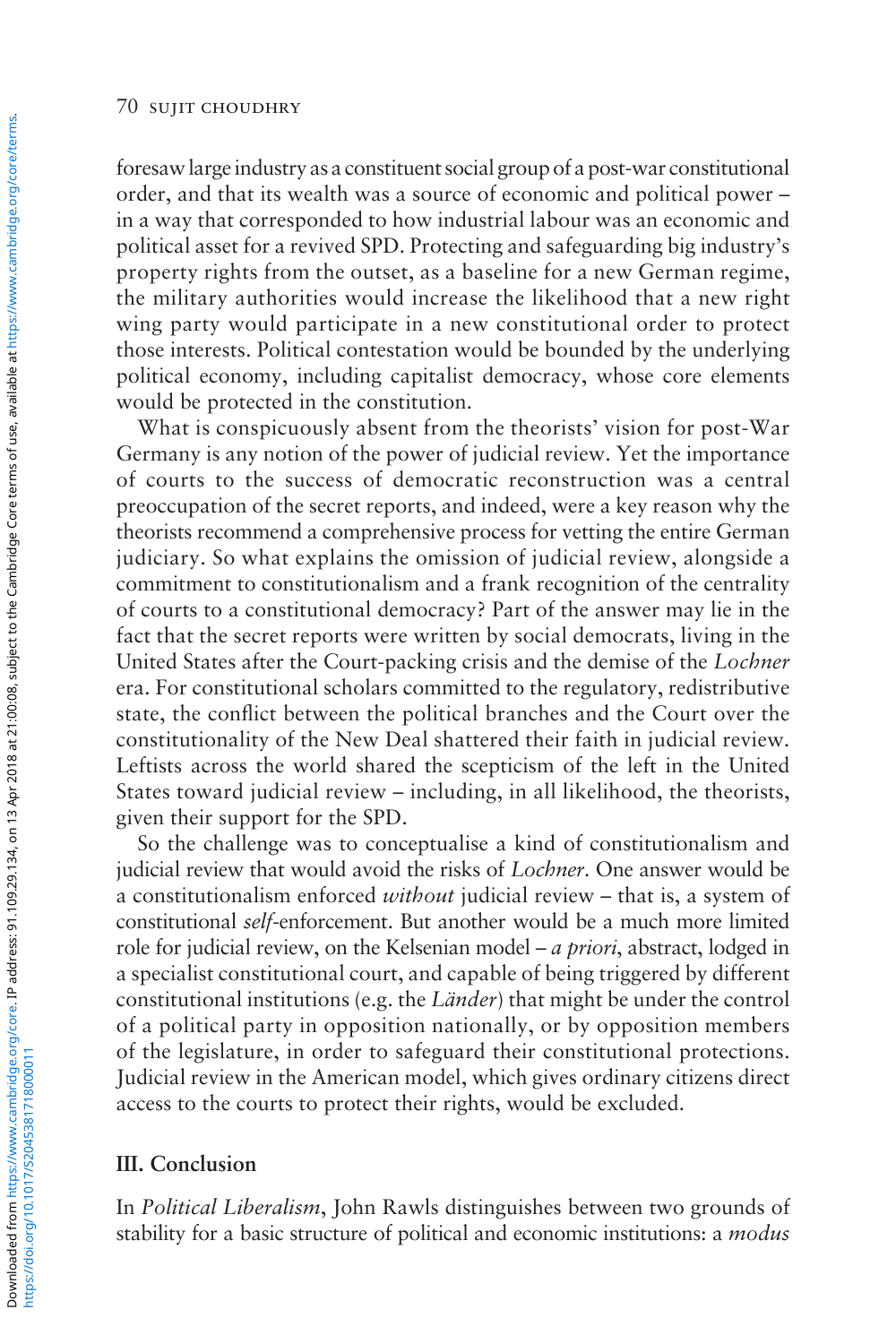foresaw large industry as a constituent social group of a post-war constitutional order, and that its wealth was a source of economic and political power – in a way that corresponded to how industrial labour was an economic and political asset for a revived SPD. Protecting and safeguarding big industry's property rights from the outset, as a baseline for a new German regime, the military authorities would increase the likelihood that a new right wing party would participate in a new constitutional order to protect those interests. Political contestation would be bounded by the underlying political economy, including capitalist democracy, whose core elements would be protected in the constitution.

What is conspicuously absent from the theorists' vision for post-War Germany is any notion of the power of judicial review. Yet the importance of courts to the success of democratic reconstruction was a central preoccupation of the secret reports, and indeed, were a key reason why the theorists recommend a comprehensive process for vetting the entire German judiciary. So what explains the omission of judicial review, alongside a commitment to constitutionalism and a frank recognition of the centrality of courts to a constitutional democracy? Part of the answer may lie in the fact that the secret reports were written by social democrats, living in the United States after the Court-packing crisis and the demise of the *Lochner* era. For constitutional scholars committed to the regulatory, redistributive state, the conflict between the political branches and the Court over the constitutionality of the New Deal shattered their faith in judicial review. Leftists across the world shared the scepticism of the left in the United States toward judicial review – including, in all likelihood, the theorists, given their support for the SPD.

So the challenge was to conceptualise a kind of constitutionalism and judicial review that would avoid the risks of *Lochner*. One answer would be a constitutionalism enforced *without* judicial review – that is, a system of constitutional *self*-enforcement. But another would be a much more limited role for judicial review, on the Kelsenian model – *a priori*, abstract, lodged in a specialist constitutional court, and capable of being triggered by different constitutional institutions (e.g. the *Länder*) that might be under the control of a political party in opposition nationally, or by opposition members of the legislature, in order to safeguard their constitutional protections. Judicial review in the American model, which gives ordinary citizens direct access to the courts to protect their rights, would be excluded.

## **III. Conclusion**

In *Political Liberalism*, John Rawls distinguishes between two grounds of stability for a basic structure of political and economic institutions: a *modus*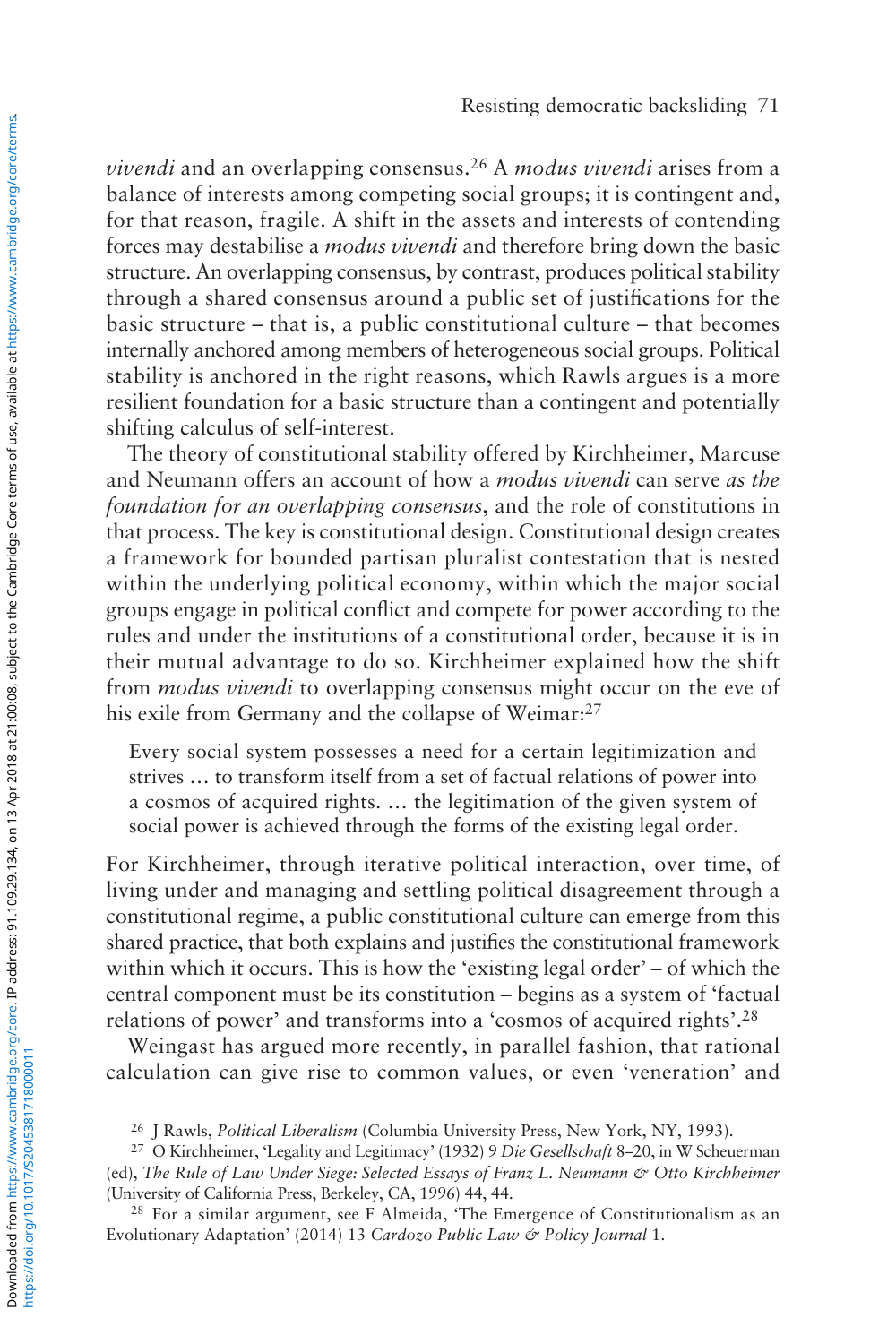*vivendi* and an overlapping consensus.26 A *modus vivendi* arises from a balance of interests among competing social groups; it is contingent and, for that reason, fragile. A shift in the assets and interests of contending forces may destabilise a *modus vivendi* and therefore bring down the basic structure. An overlapping consensus, by contrast, produces political stability through a shared consensus around a public set of justifications for the basic structure – that is, a public constitutional culture – that becomes internally anchored among members of heterogeneous social groups. Political stability is anchored in the right reasons, which Rawls argues is a more resilient foundation for a basic structure than a contingent and potentially shifting calculus of self-interest.

The theory of constitutional stability offered by Kirchheimer, Marcuse and Neumann offers an account of how a *modus vivendi* can serve *as the foundation for an overlapping consensus*, and the role of constitutions in that process. The key is constitutional design. Constitutional design creates a framework for bounded partisan pluralist contestation that is nested within the underlying political economy, within which the major social groups engage in political conflict and compete for power according to the rules and under the institutions of a constitutional order, because it is in their mutual advantage to do so. Kirchheimer explained how the shift from *modus vivendi* to overlapping consensus might occur on the eve of his exile from Germany and the collapse of Weimar:<sup>27</sup>

Every social system possesses a need for a certain legitimization and strives … to transform itself from a set of factual relations of power into a cosmos of acquired rights. … the legitimation of the given system of social power is achieved through the forms of the existing legal order.

For Kirchheimer, through iterative political interaction, over time, of living under and managing and settling political disagreement through a constitutional regime, a public constitutional culture can emerge from this shared practice, that both explains and justifies the constitutional framework within which it occurs. This is how the 'existing legal order' – of which the central component must be its constitution – begins as a system of 'factual relations of power' and transforms into a 'cosmos of acquired rights'.28

Weingast has argued more recently, in parallel fashion, that rational calculation can give rise to common values, or even 'veneration' and

<sup>26</sup> J Rawls, *Political Liberalism* (Columbia University Press, New York, NY, 1993).

<sup>27</sup> O Kirchheimer, 'Legality and Legitimacy' (1932) 9 *Die Gesellschaft* 8–20, in W Scheuerman (ed), *The Rule of Law Under Siege: Selected Essays of Franz L. Neumann & Otto Kirchheimer* (University of California Press, Berkeley, CA, 1996) 44, 44.

<sup>28</sup> For a similar argument, see F Almeida, 'The Emergence of Constitutionalism as an Evolutionary Adaptation' (2014) 13 *Cardozo Public Law & Policy Journal* 1.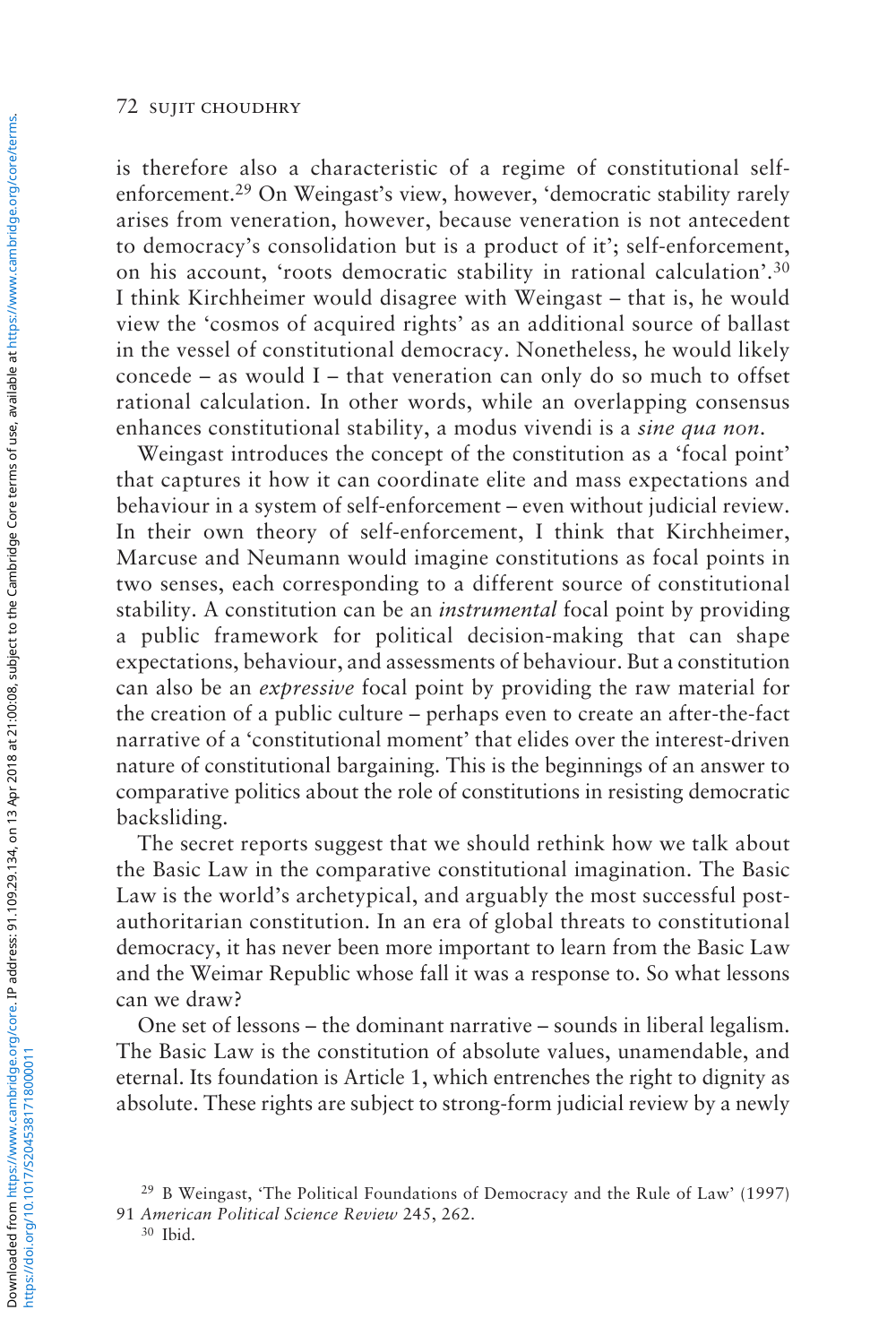is therefore also a characteristic of a regime of constitutional selfenforcement.29 On Weingast's view, however, 'democratic stability rarely arises from veneration, however, because veneration is not antecedent to democracy's consolidation but is a product of it'; self-enforcement, on his account, 'roots democratic stability in rational calculation'.30 I think Kirchheimer would disagree with Weingast – that is, he would view the 'cosmos of acquired rights' as an additional source of ballast in the vessel of constitutional democracy. Nonetheless, he would likely concede – as would  $I$  – that veneration can only do so much to offset rational calculation. In other words, while an overlapping consensus enhances constitutional stability, a modus vivendi is a *sine qua non*.

Weingast introduces the concept of the constitution as a 'focal point' that captures it how it can coordinate elite and mass expectations and behaviour in a system of self-enforcement – even without judicial review. In their own theory of self-enforcement, I think that Kirchheimer, Marcuse and Neumann would imagine constitutions as focal points in two senses, each corresponding to a different source of constitutional stability. A constitution can be an *instrumental* focal point by providing a public framework for political decision-making that can shape expectations, behaviour, and assessments of behaviour. But a constitution can also be an *expressive* focal point by providing the raw material for the creation of a public culture – perhaps even to create an after-the-fact narrative of a 'constitutional moment' that elides over the interest-driven nature of constitutional bargaining. This is the beginnings of an answer to comparative politics about the role of constitutions in resisting democratic backsliding.

The secret reports suggest that we should rethink how we talk about the Basic Law in the comparative constitutional imagination. The Basic Law is the world's archetypical, and arguably the most successful postauthoritarian constitution. In an era of global threats to constitutional democracy, it has never been more important to learn from the Basic Law and the Weimar Republic whose fall it was a response to. So what lessons can we draw?

One set of lessons – the dominant narrative – sounds in liberal legalism. The Basic Law is the constitution of absolute values, unamendable, and eternal. Its foundation is Article 1, which entrenches the right to dignity as absolute. These rights are subject to strong-form judicial review by a newly

<sup>30</sup> Ibid.

<sup>29</sup> B Weingast, 'The Political Foundations of Democracy and the Rule of Law' (1997) 91 *American Political Science Review* 245, 262.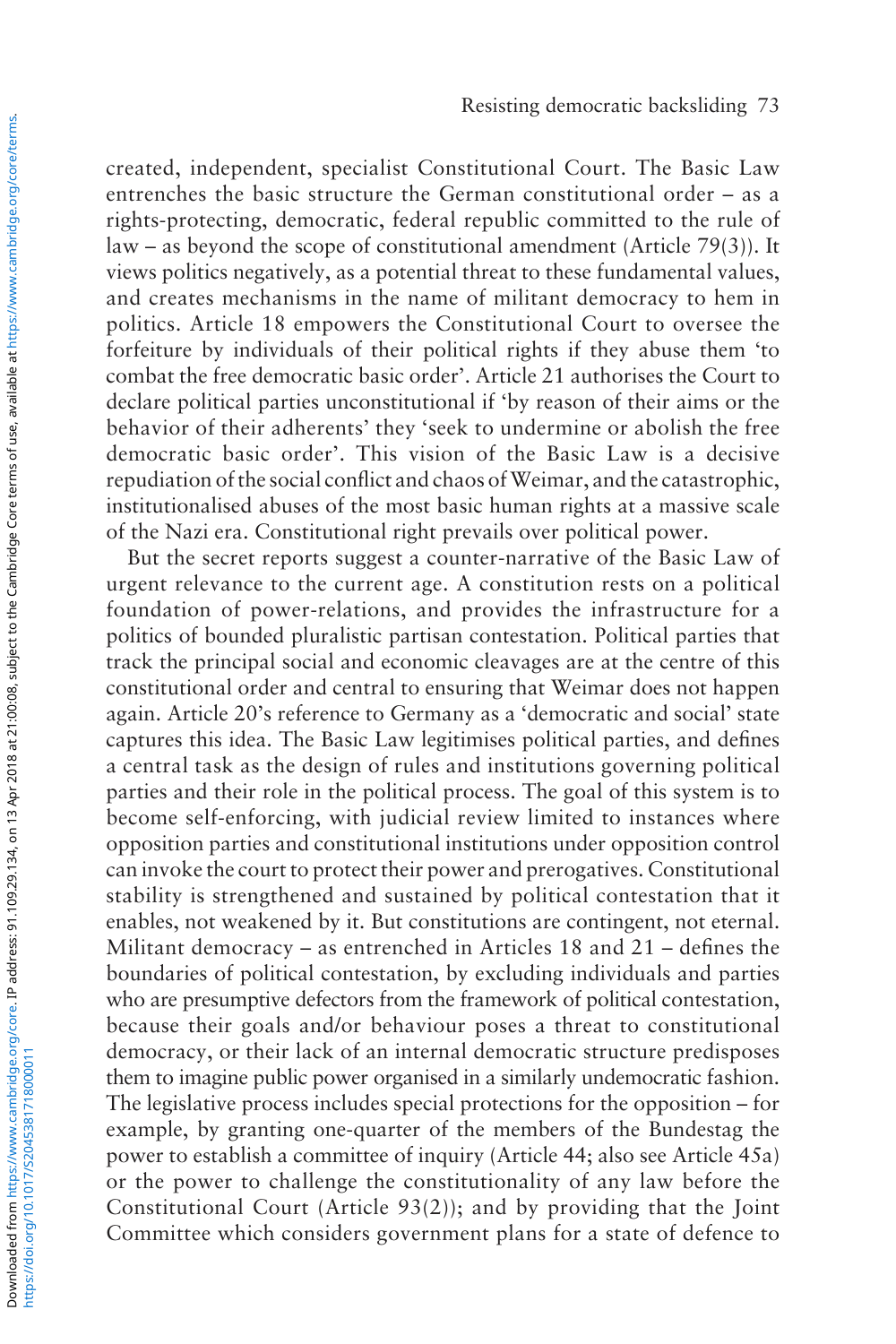created, independent, specialist Constitutional Court. The Basic Law entrenches the basic structure the German constitutional order – as a rights-protecting, democratic, federal republic committed to the rule of law – as beyond the scope of constitutional amendment (Article 79(3)). It views politics negatively, as a potential threat to these fundamental values, and creates mechanisms in the name of militant democracy to hem in politics. Article 18 empowers the Constitutional Court to oversee the forfeiture by individuals of their political rights if they abuse them 'to combat the free democratic basic order'. Article 21 authorises the Court to declare political parties unconstitutional if 'by reason of their aims or the behavior of their adherents' they 'seek to undermine or abolish the free democratic basic order'. This vision of the Basic Law is a decisive repudiation of the social conflict and chaos of Weimar, and the catastrophic, institutionalised abuses of the most basic human rights at a massive scale of the Nazi era. Constitutional right prevails over political power.

But the secret reports suggest a counter-narrative of the Basic Law of urgent relevance to the current age. A constitution rests on a political foundation of power-relations, and provides the infrastructure for a politics of bounded pluralistic partisan contestation. Political parties that track the principal social and economic cleavages are at the centre of this constitutional order and central to ensuring that Weimar does not happen again. Article 20's reference to Germany as a 'democratic and social' state captures this idea. The Basic Law legitimises political parties, and defines a central task as the design of rules and institutions governing political parties and their role in the political process. The goal of this system is to become self-enforcing, with judicial review limited to instances where opposition parties and constitutional institutions under opposition control can invoke the court to protect their power and prerogatives. Constitutional stability is strengthened and sustained by political contestation that it enables, not weakened by it. But constitutions are contingent, not eternal. Militant democracy – as entrenched in Articles 18 and 21 – defines the boundaries of political contestation, by excluding individuals and parties who are presumptive defectors from the framework of political contestation, because their goals and/or behaviour poses a threat to constitutional democracy, or their lack of an internal democratic structure predisposes them to imagine public power organised in a similarly undemocratic fashion. The legislative process includes special protections for the opposition – for example, by granting one-quarter of the members of the Bundestag the power to establish a committee of inquiry (Article 44; also see Article 45a) or the power to challenge the constitutionality of any law before the Constitutional Court (Article 93(2)); and by providing that the Joint Committee which considers government plans for a state of defence to